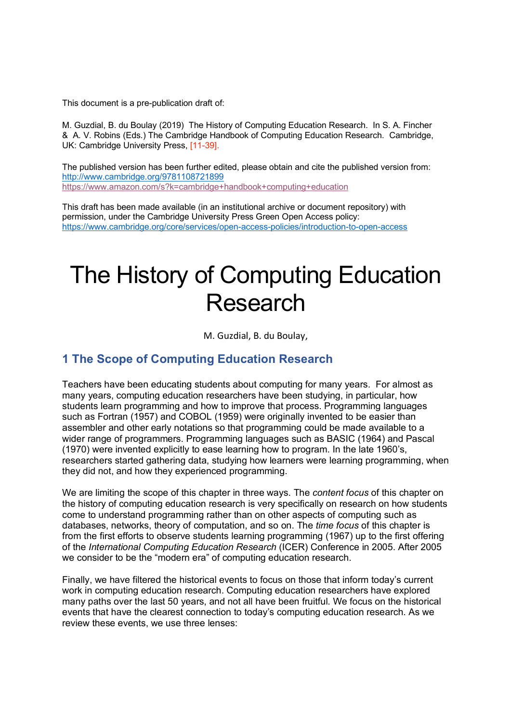This document is a pre-publication draft of:

M. Guzdial, B. du Boulay (2019) The History of Computing Education Research. In S. A. Fincher & A. V. Robins (Eds.) The Cambridge Handbook of Computing Education Research. Cambridge, UK: Cambridge University Press, [11-39].

The published version has been further edited, please obtain and cite the published version from: http://www.cambridge.org/9781108721899 https://www.amazon.com/s?k=cambridge+handbook+computing+education

This draft has been made available (in an institutional archive or document repository) with permission, under the Cambridge University Press Green Open Access policy: https://www.cambridge.org/core/services/open-access-policies/introduction-to-open-access

# The History of Computing Education Research

M. Guzdial, B. du Boulay,

# **1 The Scope of Computing Education Research**

Teachers have been educating students about computing for many years. For almost as many years, computing education researchers have been studying, in particular, how students learn programming and how to improve that process. Programming languages such as Fortran (1957) and COBOL (1959) were originally invented to be easier than assembler and other early notations so that programming could be made available to a wider range of programmers. Programming languages such as BASIC (1964) and Pascal (1970) were invented explicitly to ease learning how to program. In the late 1960's, researchers started gathering data, studying how learners were learning programming, when they did not, and how they experienced programming.

We are limiting the scope of this chapter in three ways. The *content focus* of this chapter on the history of computing education research is very specifically on research on how students come to understand programming rather than on other aspects of computing such as databases, networks, theory of computation, and so on. The *time focus* of this chapter is from the first efforts to observe students learning programming (1967) up to the first offering of the *International Computing Education Research* (ICER) Conference in 2005. After 2005 we consider to be the "modern era" of computing education research.

Finally, we have filtered the historical events to focus on those that inform today's current work in computing education research. Computing education researchers have explored many paths over the last 50 years, and not all have been fruitful. We focus on the historical events that have the clearest connection to today's computing education research. As we review these events, we use three lenses: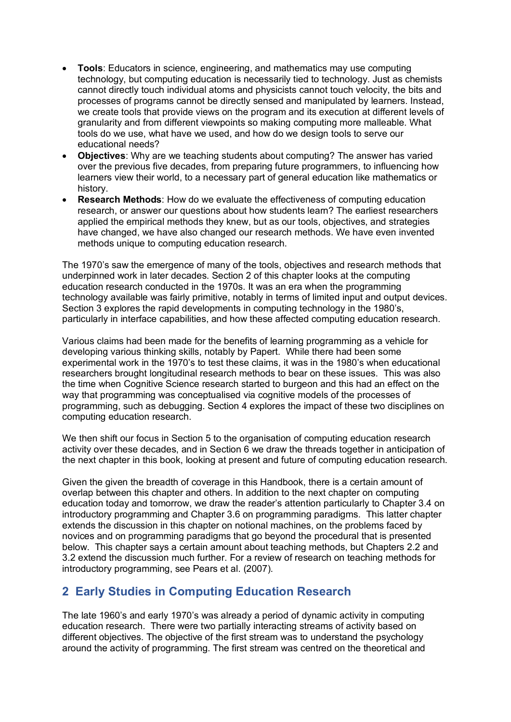- **Tools**: Educators in science, engineering, and mathematics may use computing technology, but computing education is necessarily tied to technology. Just as chemists cannot directly touch individual atoms and physicists cannot touch velocity, the bits and processes of programs cannot be directly sensed and manipulated by learners. Instead, we create tools that provide views on the program and its execution at different levels of granularity and from different viewpoints so making computing more malleable. What tools do we use, what have we used, and how do we design tools to serve our educational needs?
- **Objectives**: Why are we teaching students about computing? The answer has varied over the previous five decades, from preparing future programmers, to influencing how learners view their world, to a necessary part of general education like mathematics or history.
- **Research Methods**: How do we evaluate the effectiveness of computing education research, or answer our questions about how students learn? The earliest researchers applied the empirical methods they knew, but as our tools, objectives, and strategies have changed, we have also changed our research methods. We have even invented methods unique to computing education research.

The 1970's saw the emergence of many of the tools, objectives and research methods that underpinned work in later decades. Section 2 of this chapter looks at the computing education research conducted in the 1970s. It was an era when the programming technology available was fairly primitive, notably in terms of limited input and output devices. Section 3 explores the rapid developments in computing technology in the 1980's, particularly in interface capabilities, and how these affected computing education research.

Various claims had been made for the benefits of learning programming as a vehicle for developing various thinking skills, notably by Papert. While there had been some experimental work in the 1970's to test these claims, it was in the 1980's when educational researchers brought longitudinal research methods to bear on these issues. This was also the time when Cognitive Science research started to burgeon and this had an effect on the way that programming was conceptualised via cognitive models of the processes of programming, such as debugging. Section 4 explores the impact of these two disciplines on computing education research.

We then shift our focus in Section 5 to the organisation of computing education research activity over these decades, and in Section 6 we draw the threads together in anticipation of the next chapter in this book, looking at present and future of computing education research.

Given the given the breadth of coverage in this Handbook, there is a certain amount of overlap between this chapter and others. In addition to the next chapter on computing education today and tomorrow, we draw the reader's attention particularly to Chapter 3.4 on introductory programming and Chapter 3.6 on programming paradigms. This latter chapter extends the discussion in this chapter on notional machines, on the problems faced by novices and on programming paradigms that go beyond the procedural that is presented below. This chapter says a certain amount about teaching methods, but Chapters 2.2 and 3.2 extend the discussion much further. For a review of research on teaching methods for introductory programming, see Pears et al. (2007).

# **2 Early Studies in Computing Education Research**

The late 1960's and early 1970's was already a period of dynamic activity in computing education research. There were two partially interacting streams of activity based on different objectives. The objective of the first stream was to understand the psychology around the activity of programming. The first stream was centred on the theoretical and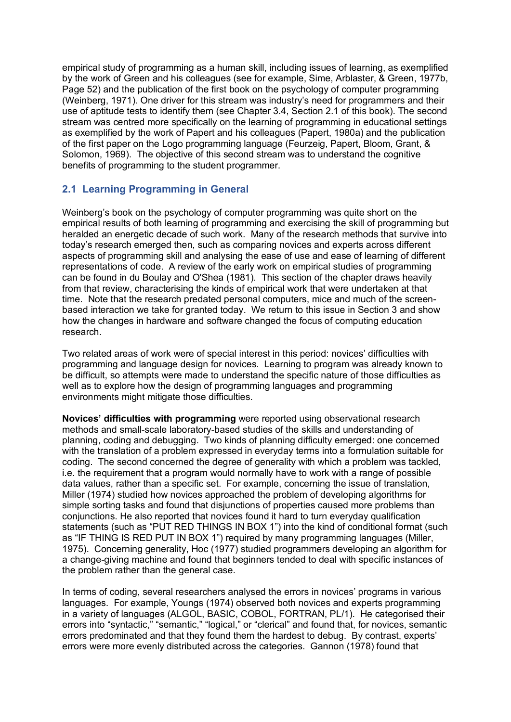empirical study of programming as a human skill, including issues of learning, as exemplified by the work of Green and his colleagues (see for example, Sime, Arblaster, & Green, 1977b, Page 52) and the publication of the first book on the psychology of computer programming (Weinberg, 1971). One driver for this stream was industry's need for programmers and their use of aptitude tests to identify them (see Chapter 3.4, Section 2.1 of this book). The second stream was centred more specifically on the learning of programming in educational settings as exemplified by the work of Papert and his colleagues (Papert, 1980a) and the publication of the first paper on the Logo programming language (Feurzeig, Papert, Bloom, Grant, & Solomon, 1969). The objective of this second stream was to understand the cognitive benefits of programming to the student programmer.

## **2.1 Learning Programming in General**

Weinberg's book on the psychology of computer programming was quite short on the empirical results of both learning of programming and exercising the skill of programming but heralded an energetic decade of such work. Many of the research methods that survive into today's research emerged then, such as comparing novices and experts across different aspects of programming skill and analysing the ease of use and ease of learning of different representations of code. A review of the early work on empirical studies of programming can be found in du Boulay and O'Shea (1981). This section of the chapter draws heavily from that review, characterising the kinds of empirical work that were undertaken at that time. Note that the research predated personal computers, mice and much of the screenbased interaction we take for granted today. We return to this issue in Section 3 and show how the changes in hardware and software changed the focus of computing education research.

Two related areas of work were of special interest in this period: novices' difficulties with programming and language design for novices. Learning to program was already known to be difficult, so attempts were made to understand the specific nature of those difficulties as well as to explore how the design of programming languages and programming environments might mitigate those difficulties.

**Novices' difficulties with programming** were reported using observational research methods and small-scale laboratory-based studies of the skills and understanding of planning, coding and debugging. Two kinds of planning difficulty emerged: one concerned with the translation of a problem expressed in everyday terms into a formulation suitable for coding. The second concerned the degree of generality with which a problem was tackled, i.e. the requirement that a program would normally have to work with a range of possible data values, rather than a specific set. For example, concerning the issue of translation, Miller (1974) studied how novices approached the problem of developing algorithms for simple sorting tasks and found that disjunctions of properties caused more problems than conjunctions. He also reported that novices found it hard to turn everyday qualification statements (such as "PUT RED THINGS IN BOX 1") into the kind of conditional format (such as "IF THING IS RED PUT IN BOX 1") required by many programming languages (Miller, 1975). Concerning generality, Hoc (1977) studied programmers developing an algorithm for a change-giving machine and found that beginners tended to deal with specific instances of the problem rather than the general case.

In terms of coding, several researchers analysed the errors in novices' programs in various languages. For example, Youngs (1974) observed both novices and experts programming in a variety of languages (ALGOL, BASIC, COBOL, FORTRAN, PL/1). He categorised their errors into "syntactic," "semantic," "logical," or "clerical" and found that, for novices, semantic errors predominated and that they found them the hardest to debug. By contrast, experts' errors were more evenly distributed across the categories. Gannon (1978) found that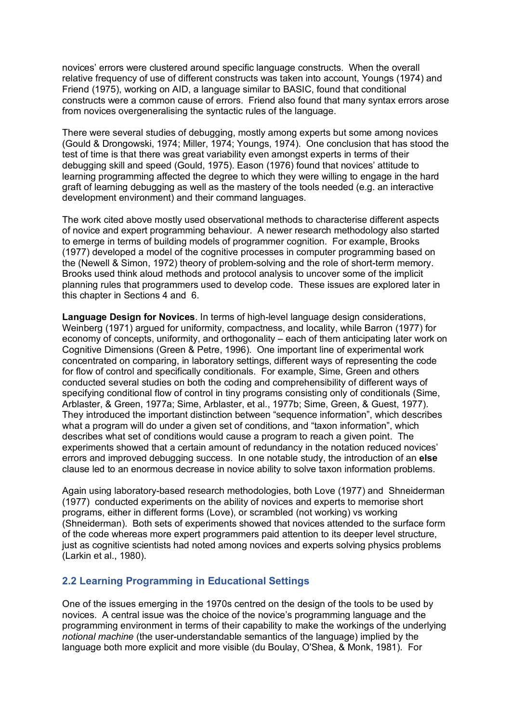novices' errors were clustered around specific language constructs. When the overall relative frequency of use of different constructs was taken into account, Youngs (1974) and Friend (1975), working on AID, a language similar to BASIC, found that conditional constructs were a common cause of errors. Friend also found that many syntax errors arose from novices overgeneralising the syntactic rules of the language.

There were several studies of debugging, mostly among experts but some among novices (Gould & Drongowski, 1974; Miller, 1974; Youngs, 1974). One conclusion that has stood the test of time is that there was great variability even amongst experts in terms of their debugging skill and speed (Gould, 1975). Eason (1976) found that novices' attitude to learning programming affected the degree to which they were willing to engage in the hard graft of learning debugging as well as the mastery of the tools needed (e.g. an interactive development environment) and their command languages.

The work cited above mostly used observational methods to characterise different aspects of novice and expert programming behaviour. A newer research methodology also started to emerge in terms of building models of programmer cognition. For example, Brooks (1977) developed a model of the cognitive processes in computer programming based on the (Newell & Simon, 1972) theory of problem-solving and the role of short-term memory. Brooks used think aloud methods and protocol analysis to uncover some of the implicit planning rules that programmers used to develop code. These issues are explored later in this chapter in Sections 4 and 6.

**Language Design for Novices**. In terms of high-level language design considerations, Weinberg (1971) argued for uniformity, compactness, and locality, while Barron (1977) for economy of concepts, uniformity, and orthogonality – each of them anticipating later work on Cognitive Dimensions (Green & Petre, 1996). One important line of experimental work concentrated on comparing, in laboratory settings, different ways of representing the code for flow of control and specifically conditionals. For example, Sime, Green and others conducted several studies on both the coding and comprehensibility of different ways of specifying conditional flow of control in tiny programs consisting only of conditionals (Sime, Arblaster, & Green, 1977a; Sime, Arblaster, et al., 1977b; Sime, Green, & Guest, 1977). They introduced the important distinction between "sequence information", which describes what a program will do under a given set of conditions, and "taxon information", which describes what set of conditions would cause a program to reach a given point. The experiments showed that a certain amount of redundancy in the notation reduced novices' errors and improved debugging success. In one notable study, the introduction of an **else** clause led to an enormous decrease in novice ability to solve taxon information problems.

Again using laboratory-based research methodologies, both Love (1977) and Shneiderman (1977) conducted experiments on the ability of novices and experts to memorise short programs, either in different forms (Love), or scrambled (not working) vs working (Shneiderman). Both sets of experiments showed that novices attended to the surface form of the code whereas more expert programmers paid attention to its deeper level structure, just as cognitive scientists had noted among novices and experts solving physics problems (Larkin et al., 1980).

## **2.2 Learning Programming in Educational Settings**

One of the issues emerging in the 1970s centred on the design of the tools to be used by novices. A central issue was the choice of the novice's programming language and the programming environment in terms of their capability to make the workings of the underlying *notional machine* (the user-understandable semantics of the language) implied by the language both more explicit and more visible (du Boulay, O'Shea, & Monk, 1981). For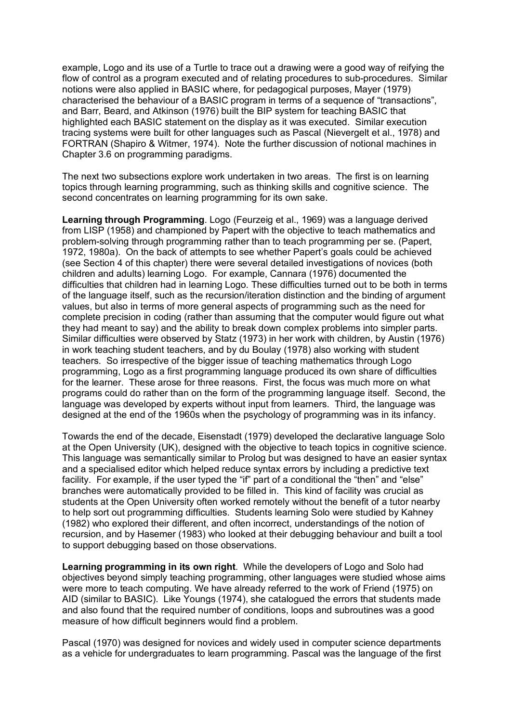example, Logo and its use of a Turtle to trace out a drawing were a good way of reifying the flow of control as a program executed and of relating procedures to sub-procedures. Similar notions were also applied in BASIC where, for pedagogical purposes, Mayer (1979) characterised the behaviour of a BASIC program in terms of a sequence of "transactions", and Barr, Beard, and Atkinson (1976) built the BIP system for teaching BASIC that highlighted each BASIC statement on the display as it was executed. Similar execution tracing systems were built for other languages such as Pascal (Nievergelt et al., 1978) and FORTRAN (Shapiro & Witmer, 1974). Note the further discussion of notional machines in Chapter 3.6 on programming paradigms.

The next two subsections explore work undertaken in two areas. The first is on learning topics through learning programming, such as thinking skills and cognitive science. The second concentrates on learning programming for its own sake.

**Learning through Programming**. Logo (Feurzeig et al., 1969) was a language derived from LISP (1958) and championed by Papert with the objective to teach mathematics and problem-solving through programming rather than to teach programming per se. (Papert, 1972, 1980a). On the back of attempts to see whether Papert's goals could be achieved (see Section 4 of this chapter) there were several detailed investigations of novices (both children and adults) learning Logo. For example, Cannara (1976) documented the difficulties that children had in learning Logo. These difficulties turned out to be both in terms of the language itself, such as the recursion/iteration distinction and the binding of argument values, but also in terms of more general aspects of programming such as the need for complete precision in coding (rather than assuming that the computer would figure out what they had meant to say) and the ability to break down complex problems into simpler parts. Similar difficulties were observed by Statz (1973) in her work with children, by Austin (1976) in work teaching student teachers, and by du Boulay (1978) also working with student teachers. So irrespective of the bigger issue of teaching mathematics through Logo programming, Logo as a first programming language produced its own share of difficulties for the learner. These arose for three reasons. First, the focus was much more on what programs could do rather than on the form of the programming language itself. Second, the language was developed by experts without input from learners. Third, the language was designed at the end of the 1960s when the psychology of programming was in its infancy.

Towards the end of the decade, Eisenstadt (1979) developed the declarative language Solo at the Open University (UK), designed with the objective to teach topics in cognitive science. This language was semantically similar to Prolog but was designed to have an easier syntax and a specialised editor which helped reduce syntax errors by including a predictive text facility. For example, if the user typed the "if" part of a conditional the "then" and "else" branches were automatically provided to be filled in. This kind of facility was crucial as students at the Open University often worked remotely without the benefit of a tutor nearby to help sort out programming difficulties. Students learning Solo were studied by Kahney (1982) who explored their different, and often incorrect, understandings of the notion of recursion, and by Hasemer (1983) who looked at their debugging behaviour and built a tool to support debugging based on those observations.

**Learning programming in its own right**. While the developers of Logo and Solo had objectives beyond simply teaching programming, other languages were studied whose aims were more to teach computing. We have already referred to the work of Friend (1975) on AID (similar to BASIC). Like Youngs (1974), she catalogued the errors that students made and also found that the required number of conditions, loops and subroutines was a good measure of how difficult beginners would find a problem.

Pascal (1970) was designed for novices and widely used in computer science departments as a vehicle for undergraduates to learn programming. Pascal was the language of the first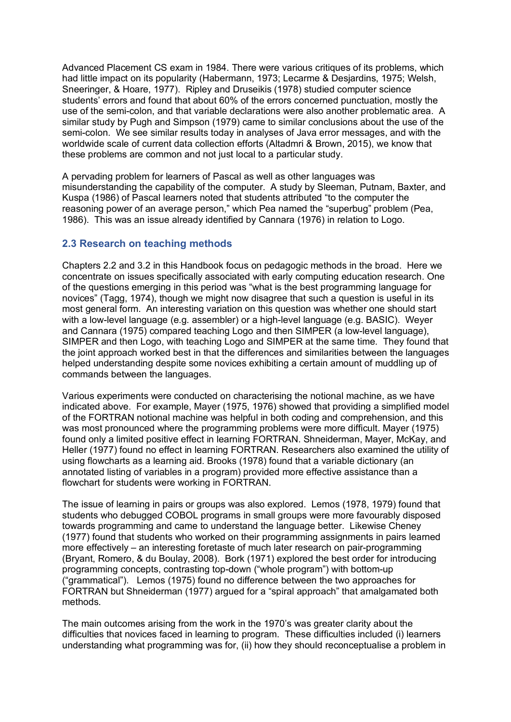Advanced Placement CS exam in 1984. There were various critiques of its problems, which had little impact on its popularity (Habermann, 1973; Lecarme & Desjardins, 1975; Welsh, Sneeringer, & Hoare, 1977). Ripley and Druseikis (1978) studied computer science students' errors and found that about 60% of the errors concerned punctuation, mostly the use of the semi-colon, and that variable declarations were also another problematic area. A similar study by Pugh and Simpson (1979) came to similar conclusions about the use of the semi-colon. We see similar results today in analyses of Java error messages, and with the worldwide scale of current data collection efforts (Altadmri & Brown, 2015), we know that these problems are common and not just local to a particular study.

A pervading problem for learners of Pascal as well as other languages was misunderstanding the capability of the computer. A study by Sleeman, Putnam, Baxter, and Kuspa (1986) of Pascal learners noted that students attributed "to the computer the reasoning power of an average person," which Pea named the "superbug" problem (Pea, 1986). This was an issue already identified by Cannara (1976) in relation to Logo.

#### **2.3 Research on teaching methods**

Chapters 2.2 and 3.2 in this Handbook focus on pedagogic methods in the broad. Here we concentrate on issues specifically associated with early computing education research. One of the questions emerging in this period was "what is the best programming language for novices" (Tagg, 1974), though we might now disagree that such a question is useful in its most general form. An interesting variation on this question was whether one should start with a low-level language (e.g. assembler) or a high-level language (e.g. BASIC). Weyer and Cannara (1975) compared teaching Logo and then SIMPER (a low-level language), SIMPER and then Logo, with teaching Logo and SIMPER at the same time. They found that the joint approach worked best in that the differences and similarities between the languages helped understanding despite some novices exhibiting a certain amount of muddling up of commands between the languages.

Various experiments were conducted on characterising the notional machine, as we have indicated above. For example, Mayer (1975, 1976) showed that providing a simplified model of the FORTRAN notional machine was helpful in both coding and comprehension, and this was most pronounced where the programming problems were more difficult. Mayer (1975) found only a limited positive effect in learning FORTRAN. Shneiderman, Mayer, McKay, and Heller (1977) found no effect in learning FORTRAN. Researchers also examined the utility of using flowcharts as a learning aid. Brooks (1978) found that a variable dictionary (an annotated listing of variables in a program) provided more effective assistance than a flowchart for students were working in FORTRAN.

The issue of learning in pairs or groups was also explored. Lemos (1978, 1979) found that students who debugged COBOL programs in small groups were more favourably disposed towards programming and came to understand the language better. Likewise Cheney (1977) found that students who worked on their programming assignments in pairs learned more effectively – an interesting foretaste of much later research on pair-programming (Bryant, Romero, & du Boulay, 2008). Bork (1971) explored the best order for introducing programming concepts, contrasting top-down ("whole program") with bottom-up ("grammatical"). Lemos (1975) found no difference between the two approaches for FORTRAN but Shneiderman (1977) argued for a "spiral approach" that amalgamated both methods.

The main outcomes arising from the work in the 1970's was greater clarity about the difficulties that novices faced in learning to program. These difficulties included (i) learners understanding what programming was for, (ii) how they should reconceptualise a problem in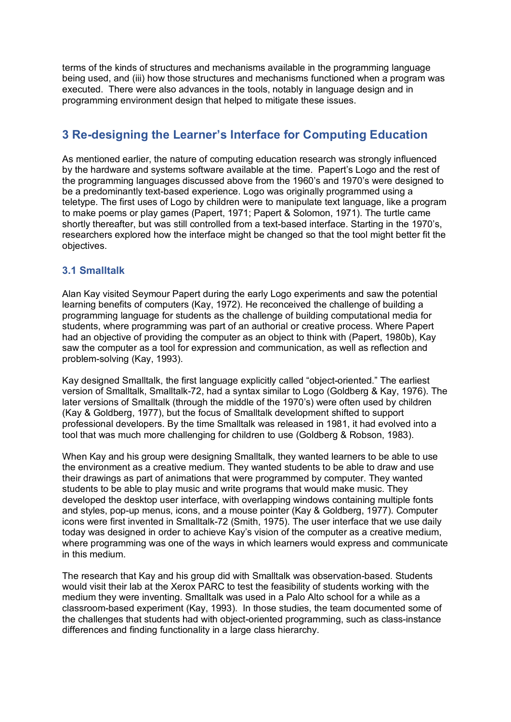terms of the kinds of structures and mechanisms available in the programming language being used, and (iii) how those structures and mechanisms functioned when a program was executed. There were also advances in the tools, notably in language design and in programming environment design that helped to mitigate these issues.

# **3 Re-designing the Learner's Interface for Computing Education**

As mentioned earlier, the nature of computing education research was strongly influenced by the hardware and systems software available at the time. Papert's Logo and the rest of the programming languages discussed above from the 1960's and 1970's were designed to be a predominantly text-based experience. Logo was originally programmed using a teletype. The first uses of Logo by children were to manipulate text language, like a program to make poems or play games (Papert, 1971; Papert & Solomon, 1971). The turtle came shortly thereafter, but was still controlled from a text-based interface. Starting in the 1970's, researchers explored how the interface might be changed so that the tool might better fit the objectives.

## **3.1 Smalltalk**

Alan Kay visited Seymour Papert during the early Logo experiments and saw the potential learning benefits of computers (Kay, 1972). He reconceived the challenge of building a programming language for students as the challenge of building computational media for students, where programming was part of an authorial or creative process. Where Papert had an objective of providing the computer as an object to think with (Papert, 1980b), Kay saw the computer as a tool for expression and communication, as well as reflection and problem-solving (Kay, 1993).

Kay designed Smalltalk, the first language explicitly called "object-oriented." The earliest version of Smalltalk, Smalltalk-72, had a syntax similar to Logo (Goldberg & Kay, 1976). The later versions of Smalltalk (through the middle of the 1970's) were often used by children (Kay & Goldberg, 1977), but the focus of Smalltalk development shifted to support professional developers. By the time Smalltalk was released in 1981, it had evolved into a tool that was much more challenging for children to use (Goldberg & Robson, 1983).

When Kay and his group were designing Smalltalk, they wanted learners to be able to use the environment as a creative medium. They wanted students to be able to draw and use their drawings as part of animations that were programmed by computer. They wanted students to be able to play music and write programs that would make music. They developed the desktop user interface, with overlapping windows containing multiple fonts and styles, pop-up menus, icons, and a mouse pointer (Kay & Goldberg, 1977). Computer icons were first invented in Smalltalk-72 (Smith, 1975). The user interface that we use daily today was designed in order to achieve Kay's vision of the computer as a creative medium, where programming was one of the ways in which learners would express and communicate in this medium.

The research that Kay and his group did with Smalltalk was observation-based. Students would visit their lab at the Xerox PARC to test the feasibility of students working with the medium they were inventing. Smalltalk was used in a Palo Alto school for a while as a classroom-based experiment (Kay, 1993). In those studies, the team documented some of the challenges that students had with object-oriented programming, such as class-instance differences and finding functionality in a large class hierarchy.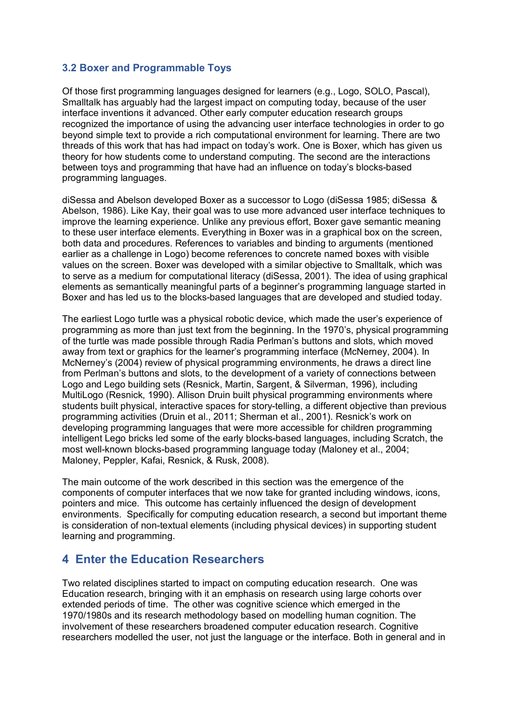## **3.2 Boxer and Programmable Toys**

Of those first programming languages designed for learners (e.g., Logo, SOLO, Pascal), Smalltalk has arguably had the largest impact on computing today, because of the user interface inventions it advanced. Other early computer education research groups recognized the importance of using the advancing user interface technologies in order to go beyond simple text to provide a rich computational environment for learning. There are two threads of this work that has had impact on today's work. One is Boxer, which has given us theory for how students come to understand computing. The second are the interactions between toys and programming that have had an influence on today's blocks-based programming languages.

diSessa and Abelson developed Boxer as a successor to Logo (diSessa 1985; diSessa & Abelson, 1986). Like Kay, their goal was to use more advanced user interface techniques to improve the learning experience. Unlike any previous effort, Boxer gave semantic meaning to these user interface elements. Everything in Boxer was in a graphical box on the screen, both data and procedures. References to variables and binding to arguments (mentioned earlier as a challenge in Logo) become references to concrete named boxes with visible values on the screen. Boxer was developed with a similar objective to Smalltalk, which was to serve as a medium for computational literacy (diSessa, 2001). The idea of using graphical elements as semantically meaningful parts of a beginner's programming language started in Boxer and has led us to the blocks-based languages that are developed and studied today.

The earliest Logo turtle was a physical robotic device, which made the user's experience of programming as more than just text from the beginning. In the 1970's, physical programming of the turtle was made possible through Radia Perlman's buttons and slots, which moved away from text or graphics for the learner's programming interface (McNerney, 2004). In McNerney's (2004) review of physical programming environments, he draws a direct line from Perlman's buttons and slots, to the development of a variety of connections between Logo and Lego building sets (Resnick, Martin, Sargent, & Silverman, 1996), including MultiLogo (Resnick, 1990). Allison Druin built physical programming environments where students built physical, interactive spaces for story-telling, a different objective than previous programming activities (Druin et al., 2011; Sherman et al., 2001). Resnick's work on developing programming languages that were more accessible for children programming intelligent Lego bricks led some of the early blocks-based languages, including Scratch, the most well-known blocks-based programming language today (Maloney et al., 2004; Maloney, Peppler, Kafai, Resnick, & Rusk, 2008).

The main outcome of the work described in this section was the emergence of the components of computer interfaces that we now take for granted including windows, icons, pointers and mice. This outcome has certainly influenced the design of development environments. Specifically for computing education research, a second but important theme is consideration of non-textual elements (including physical devices) in supporting student learning and programming.

# **4 Enter the Education Researchers**

Two related disciplines started to impact on computing education research. One was Education research, bringing with it an emphasis on research using large cohorts over extended periods of time. The other was cognitive science which emerged in the 1970/1980s and its research methodology based on modelling human cognition. The involvement of these researchers broadened computer education research. Cognitive researchers modelled the user, not just the language or the interface. Both in general and in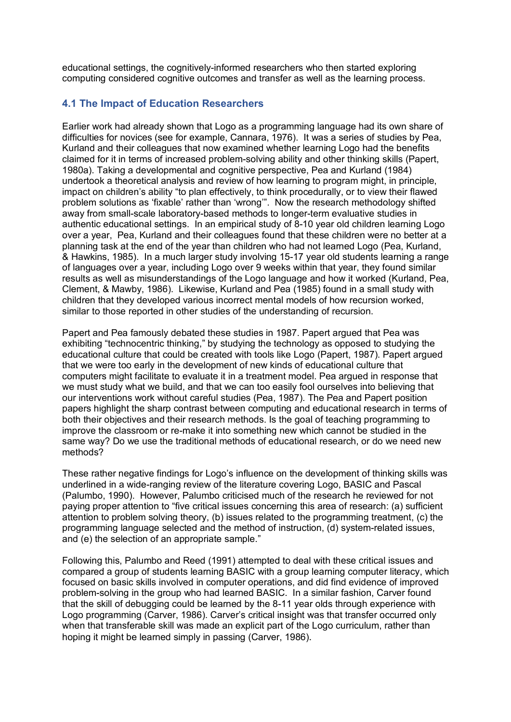educational settings, the cognitively-informed researchers who then started exploring computing considered cognitive outcomes and transfer as well as the learning process.

#### **4.1 The Impact of Education Researchers**

Earlier work had already shown that Logo as a programming language had its own share of difficulties for novices (see for example, Cannara, 1976). It was a series of studies by Pea, Kurland and their colleagues that now examined whether learning Logo had the benefits claimed for it in terms of increased problem-solving ability and other thinking skills (Papert, 1980a). Taking a developmental and cognitive perspective, Pea and Kurland (1984) undertook a theoretical analysis and review of how learning to program might, in principle, impact on children's ability "to plan effectively, to think procedurally, or to view their flawed problem solutions as 'fixable' rather than 'wrong'". Now the research methodology shifted away from small-scale laboratory-based methods to longer-term evaluative studies in authentic educational settings. In an empirical study of 8-10 year old children learning Logo over a year, Pea, Kurland and their colleagues found that these children were no better at a planning task at the end of the year than children who had not learned Logo (Pea, Kurland, & Hawkins, 1985). In a much larger study involving 15-17 year old students learning a range of languages over a year, including Logo over 9 weeks within that year, they found similar results as well as misunderstandings of the Logo language and how it worked (Kurland, Pea, Clement, & Mawby, 1986). Likewise, Kurland and Pea (1985) found in a small study with children that they developed various incorrect mental models of how recursion worked, similar to those reported in other studies of the understanding of recursion.

Papert and Pea famously debated these studies in 1987. Papert argued that Pea was exhibiting "technocentric thinking," by studying the technology as opposed to studying the educational culture that could be created with tools like Logo (Papert, 1987). Papert argued that we were too early in the development of new kinds of educational culture that computers might facilitate to evaluate it in a treatment model. Pea argued in response that we must study what we build, and that we can too easily fool ourselves into believing that our interventions work without careful studies (Pea, 1987). The Pea and Papert position papers highlight the sharp contrast between computing and educational research in terms of both their objectives and their research methods. Is the goal of teaching programming to improve the classroom or re-make it into something new which cannot be studied in the same way? Do we use the traditional methods of educational research, or do we need new methods?

These rather negative findings for Logo's influence on the development of thinking skills was underlined in a wide-ranging review of the literature covering Logo, BASIC and Pascal (Palumbo, 1990). However, Palumbo criticised much of the research he reviewed for not paying proper attention to "five critical issues concerning this area of research: (a) sufficient attention to problem solving theory, (b) issues related to the programming treatment, (c) the programming language selected and the method of instruction, (d) system-related issues, and (e) the selection of an appropriate sample."

Following this, Palumbo and Reed (1991) attempted to deal with these critical issues and compared a group of students learning BASIC with a group learning computer literacy, which focused on basic skills involved in computer operations, and did find evidence of improved problem-solving in the group who had learned BASIC. In a similar fashion, Carver found that the skill of debugging could be learned by the 8-11 year olds through experience with Logo programming (Carver, 1986). Carver's critical insight was that transfer occurred only when that transferable skill was made an explicit part of the Logo curriculum, rather than hoping it might be learned simply in passing (Carver, 1986).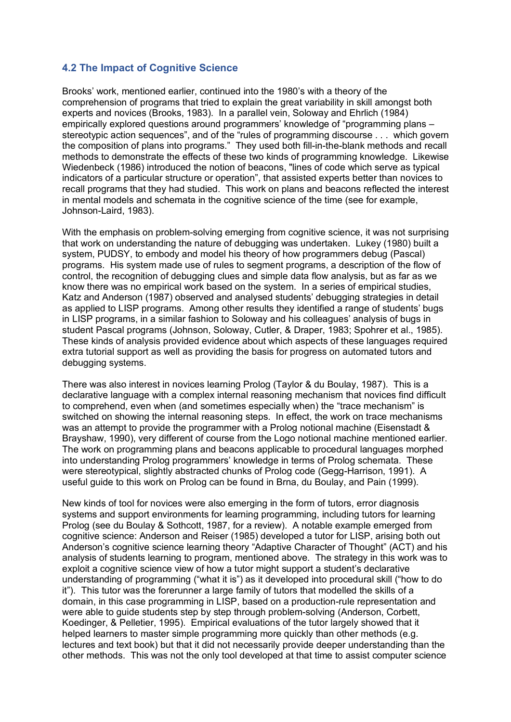## **4.2 The Impact of Cognitive Science**

Brooks' work, mentioned earlier, continued into the 1980's with a theory of the comprehension of programs that tried to explain the great variability in skill amongst both experts and novices (Brooks, 1983). In a parallel vein, Soloway and Ehrlich (1984) empirically explored questions around programmers' knowledge of "programming plans – stereotypic action sequences", and of the "rules of programming discourse . . . which govern the composition of plans into programs." They used both fill-in-the-blank methods and recall methods to demonstrate the effects of these two kinds of programming knowledge. Likewise Wiedenbeck (1986) introduced the notion of beacons, "lines of code which serve as typical indicators of a particular structure or operation", that assisted experts better than novices to recall programs that they had studied. This work on plans and beacons reflected the interest in mental models and schemata in the cognitive science of the time (see for example, Johnson-Laird, 1983).

With the emphasis on problem-solving emerging from cognitive science, it was not surprising that work on understanding the nature of debugging was undertaken. Lukey (1980) built a system, PUDSY, to embody and model his theory of how programmers debug (Pascal) programs. His system made use of rules to segment programs, a description of the flow of control, the recognition of debugging clues and simple data flow analysis, but as far as we know there was no empirical work based on the system. In a series of empirical studies, Katz and Anderson (1987) observed and analysed students' debugging strategies in detail as applied to LISP programs. Among other results they identified a range of students' bugs in LISP programs, in a similar fashion to Soloway and his colleagues' analysis of bugs in student Pascal programs (Johnson, Soloway, Cutler, & Draper, 1983; Spohrer et al., 1985). These kinds of analysis provided evidence about which aspects of these languages required extra tutorial support as well as providing the basis for progress on automated tutors and debugging systems.

There was also interest in novices learning Prolog (Taylor & du Boulay, 1987). This is a declarative language with a complex internal reasoning mechanism that novices find difficult to comprehend, even when (and sometimes especially when) the "trace mechanism" is switched on showing the internal reasoning steps. In effect, the work on trace mechanisms was an attempt to provide the programmer with a Prolog notional machine (Eisenstadt & Brayshaw, 1990), very different of course from the Logo notional machine mentioned earlier. The work on programming plans and beacons applicable to procedural languages morphed into understanding Prolog programmers' knowledge in terms of Prolog schemata. These were stereotypical, slightly abstracted chunks of Prolog code (Gegg-Harrison, 1991). A useful guide to this work on Prolog can be found in Brna, du Boulay, and Pain (1999).

New kinds of tool for novices were also emerging in the form of tutors, error diagnosis systems and support environments for learning programming, including tutors for learning Prolog (see du Boulay & Sothcott, 1987, for a review). A notable example emerged from cognitive science: Anderson and Reiser (1985) developed a tutor for LISP, arising both out Anderson's cognitive science learning theory "Adaptive Character of Thought" (ACT) and his analysis of students learning to program, mentioned above. The strategy in this work was to exploit a cognitive science view of how a tutor might support a student's declarative understanding of programming ("what it is") as it developed into procedural skill ("how to do it"). This tutor was the forerunner a large family of tutors that modelled the skills of a domain, in this case programming in LISP, based on a production-rule representation and were able to guide students step by step through problem-solving (Anderson, Corbett, Koedinger, & Pelletier, 1995). Empirical evaluations of the tutor largely showed that it helped learners to master simple programming more quickly than other methods (e.g. lectures and text book) but that it did not necessarily provide deeper understanding than the other methods. This was not the only tool developed at that time to assist computer science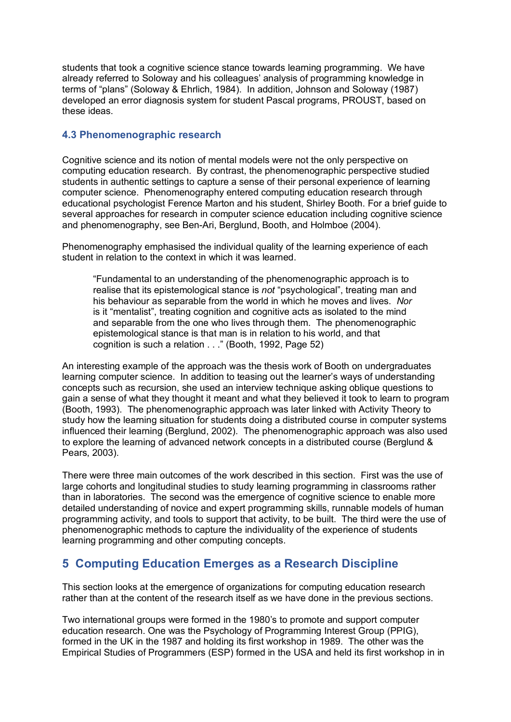students that took a cognitive science stance towards learning programming. We have already referred to Soloway and his colleagues' analysis of programming knowledge in terms of "plans" (Soloway & Ehrlich, 1984). In addition, Johnson and Soloway (1987) developed an error diagnosis system for student Pascal programs, PROUST, based on these ideas.

#### **4.3 Phenomenographic research**

Cognitive science and its notion of mental models were not the only perspective on computing education research. By contrast, the phenomenographic perspective studied students in authentic settings to capture a sense of their personal experience of learning computer science. Phenomenography entered computing education research through educational psychologist Ference Marton and his student, Shirley Booth. For a brief guide to several approaches for research in computer science education including cognitive science and phenomenography, see Ben-Ari, Berglund, Booth, and Holmboe (2004).

Phenomenography emphasised the individual quality of the learning experience of each student in relation to the context in which it was learned.

"Fundamental to an understanding of the phenomenographic approach is to realise that its epistemological stance is *not* "psychological", treating man and his behaviour as separable from the world in which he moves and lives. *Nor* is it "mentalist", treating cognition and cognitive acts as isolated to the mind and separable from the one who lives through them. The phenomenographic epistemological stance is that man is in relation to his world, and that cognition is such a relation . . ." (Booth, 1992, Page 52)

An interesting example of the approach was the thesis work of Booth on undergraduates learning computer science. In addition to teasing out the learner's ways of understanding concepts such as recursion, she used an interview technique asking oblique questions to gain a sense of what they thought it meant and what they believed it took to learn to program (Booth, 1993). The phenomenographic approach was later linked with Activity Theory to study how the learning situation for students doing a distributed course in computer systems influenced their learning (Berglund, 2002). The phenomenographic approach was also used to explore the learning of advanced network concepts in a distributed course (Berglund & Pears, 2003).

There were three main outcomes of the work described in this section. First was the use of large cohorts and longitudinal studies to study learning programming in classrooms rather than in laboratories. The second was the emergence of cognitive science to enable more detailed understanding of novice and expert programming skills, runnable models of human programming activity, and tools to support that activity, to be built. The third were the use of phenomenographic methods to capture the individuality of the experience of students learning programming and other computing concepts.

# **5 Computing Education Emerges as a Research Discipline**

This section looks at the emergence of organizations for computing education research rather than at the content of the research itself as we have done in the previous sections.

Two international groups were formed in the 1980's to promote and support computer education research. One was the Psychology of Programming Interest Group (PPIG), formed in the UK in the 1987 and holding its first workshop in 1989. The other was the Empirical Studies of Programmers (ESP) formed in the USA and held its first workshop in in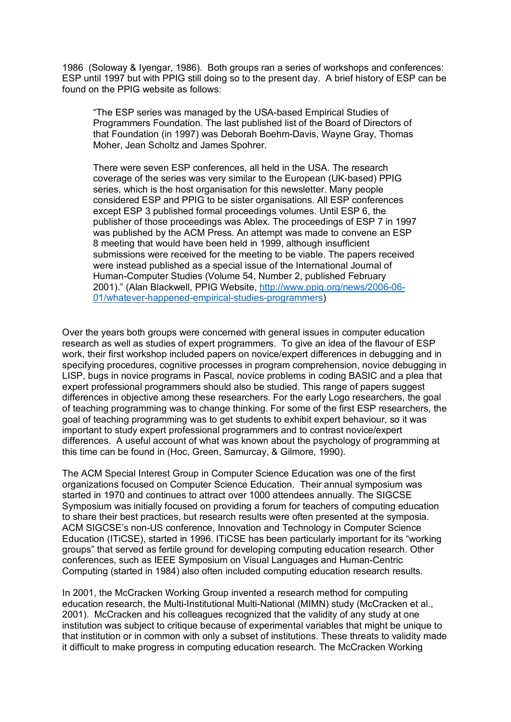1986 (Soloway & Iyengar, 1986). Both groups ran a series of workshops and conferences: ESP until 1997 but with PPIG still doing so to the present day. A brief history of ESP can be found on the PPIG website as follows:

"The ESP series was managed by the USA-based Empirical Studies of Programmers Foundation. The last published list of the Board of Directors of that Foundation (in 1997) was Deborah Boehm-Davis, Wayne Gray, Thomas Moher, Jean Scholtz and James Spohrer.

There were seven ESP conferences, all held in the USA. The research coverage of the series was very similar to the European (UK-based) PPIG series, which is the host organisation for this newsletter. Many people considered ESP and PPIG to be sister organisations. All ESP conferences except ESP 3 published formal proceedings volumes. Until ESP 6, the publisher of those proceedings was Ablex. The proceedings of ESP 7 in 1997 was published by the ACM Press. An attempt was made to convene an ESP 8 meeting that would have been held in 1999, although insufficient submissions were received for the meeting to be viable. The papers received were instead published as a special issue of the International Journal of Human-Computer Studies (Volume 54, Number 2, published February 2001)." (Alan Blackwell, PPIG Website, http://www.ppig.org/news/2006-06- 01/whatever-happened-empirical-studies-programmers)

Over the years both groups were concerned with general issues in computer education research as well as studies of expert programmers. To give an idea of the flavour of ESP work, their first workshop included papers on novice/expert differences in debugging and in specifying procedures, cognitive processes in program comprehension, novice debugging in LISP, bugs in novice programs in Pascal, novice problems in coding BASIC and a plea that expert professional programmers should also be studied. This range of papers suggest differences in objective among these researchers. For the early Logo researchers, the goal of teaching programming was to change thinking. For some of the first ESP researchers, the goal of teaching programming was to get students to exhibit expert behaviour, so it was important to study expert professional programmers and to contrast novice/expert differences. A useful account of what was known about the psychology of programming at this time can be found in (Hoc, Green, Samurcay, & Gilmore, 1990).

The ACM Special Interest Group in Computer Science Education was one of the first organizations focused on Computer Science Education. Their annual symposium was started in 1970 and continues to attract over 1000 attendees annually. The SIGCSE Symposium was initially focused on providing a forum for teachers of computing education to share their best practices, but research results were often presented at the symposia. ACM SIGCSE's non-US conference, Innovation and Technology in Computer Science Education (ITiCSE), started in 1996. ITiCSE has been particularly important for its "working groups" that served as fertile ground for developing computing education research. Other conferences, such as IEEE Symposium on Visual Languages and Human-Centric Computing (started in 1984) also often included computing education research results.

In 2001, the McCracken Working Group invented a research method for computing education research, the Multi-Institutional Multi-National (MIMN) study (McCracken et al., 2001). McCracken and his colleagues recognized that the validity of any study at one institution was subject to critique because of experimental variables that might be unique to that institution or in common with only a subset of institutions. These threats to validity made it difficult to make progress in computing education research. The McCracken Working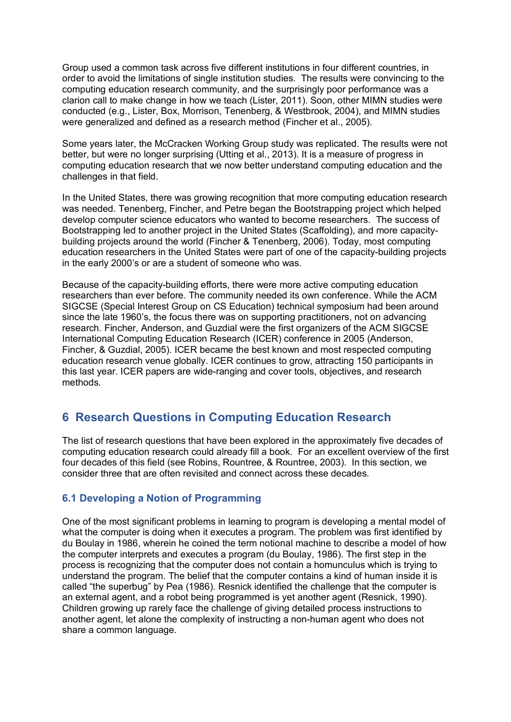Group used a common task across five different institutions in four different countries, in order to avoid the limitations of single institution studies. The results were convincing to the computing education research community, and the surprisingly poor performance was a clarion call to make change in how we teach (Lister, 2011). Soon, other MIMN studies were conducted (e.g., Lister, Box, Morrison, Tenenberg, & Westbrook, 2004), and MIMN studies were generalized and defined as a research method (Fincher et al., 2005).

Some years later, the McCracken Working Group study was replicated. The results were not better, but were no longer surprising (Utting et al., 2013). It is a measure of progress in computing education research that we now better understand computing education and the challenges in that field.

In the United States, there was growing recognition that more computing education research was needed. Tenenberg, Fincher, and Petre began the Bootstrapping project which helped develop computer science educators who wanted to become researchers. The success of Bootstrapping led to another project in the United States (Scaffolding), and more capacitybuilding projects around the world (Fincher & Tenenberg, 2006). Today, most computing education researchers in the United States were part of one of the capacity-building projects in the early 2000's or are a student of someone who was.

Because of the capacity-building efforts, there were more active computing education researchers than ever before. The community needed its own conference. While the ACM SIGCSE (Special Interest Group on CS Education) technical symposium had been around since the late 1960's, the focus there was on supporting practitioners, not on advancing research. Fincher, Anderson, and Guzdial were the first organizers of the ACM SIGCSE International Computing Education Research (ICER) conference in 2005 (Anderson, Fincher, & Guzdial, 2005). ICER became the best known and most respected computing education research venue globally. ICER continues to grow, attracting 150 participants in this last year. ICER papers are wide-ranging and cover tools, objectives, and research methods.

# **6 Research Questions in Computing Education Research**

The list of research questions that have been explored in the approximately five decades of computing education research could already fill a book. For an excellent overview of the first four decades of this field (see Robins, Rountree, & Rountree, 2003). In this section, we consider three that are often revisited and connect across these decades.

## **6.1 Developing a Notion of Programming**

One of the most significant problems in learning to program is developing a mental model of what the computer is doing when it executes a program. The problem was first identified by du Boulay in 1986, wherein he coined the term notional machine to describe a model of how the computer interprets and executes a program (du Boulay, 1986). The first step in the process is recognizing that the computer does not contain a homunculus which is trying to understand the program. The belief that the computer contains a kind of human inside it is called "the superbug" by Pea (1986). Resnick identified the challenge that the computer is an external agent, and a robot being programmed is yet another agent (Resnick, 1990). Children growing up rarely face the challenge of giving detailed process instructions to another agent, let alone the complexity of instructing a non-human agent who does not share a common language.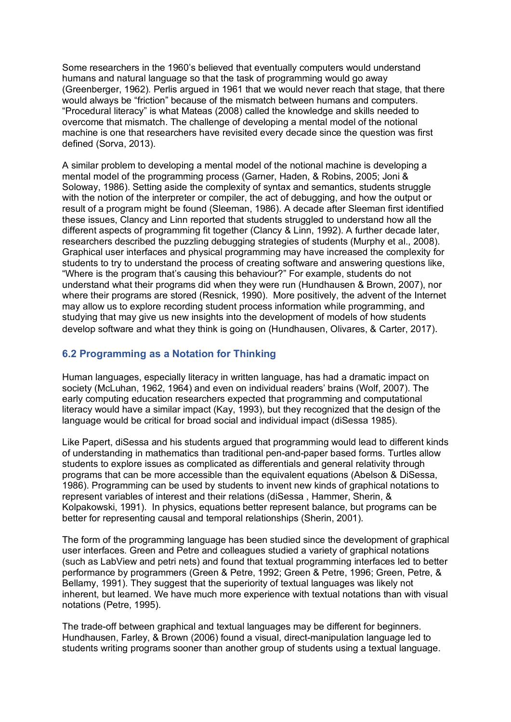Some researchers in the 1960's believed that eventually computers would understand humans and natural language so that the task of programming would go away (Greenberger, 1962). Perlis argued in 1961 that we would never reach that stage, that there would always be "friction" because of the mismatch between humans and computers. "Procedural literacy" is what Mateas (2008) called the knowledge and skills needed to overcome that mismatch. The challenge of developing a mental model of the notional machine is one that researchers have revisited every decade since the question was first defined (Sorva, 2013).

A similar problem to developing a mental model of the notional machine is developing a mental model of the programming process (Garner, Haden, & Robins, 2005; Joni & Soloway, 1986). Setting aside the complexity of syntax and semantics, students struggle with the notion of the interpreter or compiler, the act of debugging, and how the output or result of a program might be found (Sleeman, 1986). A decade after Sleeman first identified these issues, Clancy and Linn reported that students struggled to understand how all the different aspects of programming fit together (Clancy & Linn, 1992). A further decade later, researchers described the puzzling debugging strategies of students (Murphy et al., 2008). Graphical user interfaces and physical programming may have increased the complexity for students to try to understand the process of creating software and answering questions like, "Where is the program that's causing this behaviour?" For example, students do not understand what their programs did when they were run (Hundhausen & Brown, 2007), nor where their programs are stored (Resnick, 1990). More positively, the advent of the Internet may allow us to explore recording student process information while programming, and studying that may give us new insights into the development of models of how students develop software and what they think is going on (Hundhausen, Olivares, & Carter, 2017).

#### **6.2 Programming as a Notation for Thinking**

Human languages, especially literacy in written language, has had a dramatic impact on society (McLuhan, 1962, 1964) and even on individual readers' brains (Wolf, 2007). The early computing education researchers expected that programming and computational literacy would have a similar impact (Kay, 1993), but they recognized that the design of the language would be critical for broad social and individual impact (diSessa 1985).

Like Papert, diSessa and his students argued that programming would lead to different kinds of understanding in mathematics than traditional pen-and-paper based forms. Turtles allow students to explore issues as complicated as differentials and general relativity through programs that can be more accessible than the equivalent equations (Abelson & DiSessa, 1986). Programming can be used by students to invent new kinds of graphical notations to represent variables of interest and their relations (diSessa , Hammer, Sherin, & Kolpakowski, 1991). In physics, equations better represent balance, but programs can be better for representing causal and temporal relationships (Sherin, 2001).

The form of the programming language has been studied since the development of graphical user interfaces. Green and Petre and colleagues studied a variety of graphical notations (such as LabView and petri nets) and found that textual programming interfaces led to better performance by programmers (Green & Petre, 1992; Green & Petre, 1996; Green, Petre, & Bellamy, 1991). They suggest that the superiority of textual languages was likely not inherent, but learned. We have much more experience with textual notations than with visual notations (Petre, 1995).

The trade-off between graphical and textual languages may be different for beginners. Hundhausen, Farley, & Brown (2006) found a visual, direct-manipulation language led to students writing programs sooner than another group of students using a textual language.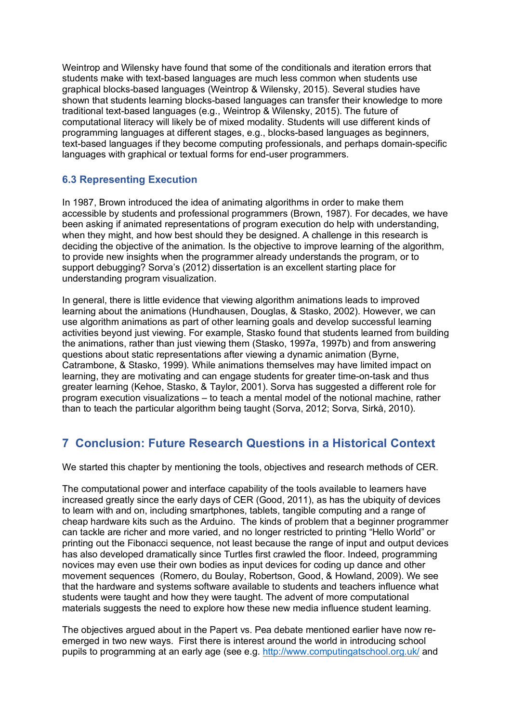Weintrop and Wilensky have found that some of the conditionals and iteration errors that students make with text-based languages are much less common when students use graphical blocks-based languages (Weintrop & Wilensky, 2015). Several studies have shown that students learning blocks-based languages can transfer their knowledge to more traditional text-based languages (e.g., Weintrop & Wilensky, 2015). The future of computational literacy will likely be of mixed modality. Students will use different kinds of programming languages at different stages, e.g., blocks-based languages as beginners, text-based languages if they become computing professionals, and perhaps domain-specific languages with graphical or textual forms for end-user programmers.

# **6.3 Representing Execution**

In 1987, Brown introduced the idea of animating algorithms in order to make them accessible by students and professional programmers (Brown, 1987). For decades, we have been asking if animated representations of program execution do help with understanding, when they might, and how best should they be designed. A challenge in this research is deciding the objective of the animation. Is the objective to improve learning of the algorithm, to provide new insights when the programmer already understands the program, or to support debugging? Sorva's (2012) dissertation is an excellent starting place for understanding program visualization.

In general, there is little evidence that viewing algorithm animations leads to improved learning about the animations (Hundhausen, Douglas, & Stasko, 2002). However, we can use algorithm animations as part of other learning goals and develop successful learning activities beyond just viewing. For example, Stasko found that students learned from building the animations, rather than just viewing them (Stasko, 1997a, 1997b) and from answering questions about static representations after viewing a dynamic animation (Byrne, Catrambone, & Stasko, 1999). While animations themselves may have limited impact on learning, they are motivating and can engage students for greater time-on-task and thus greater learning (Kehoe, Stasko, & Taylor, 2001). Sorva has suggested a different role for program execution visualizations – to teach a mental model of the notional machine, rather than to teach the particular algorithm being taught (Sorva, 2012; Sorva, Sirkå, 2010).

# **7 Conclusion: Future Research Questions in a Historical Context**

We started this chapter by mentioning the tools, objectives and research methods of CER.

The computational power and interface capability of the tools available to learners have increased greatly since the early days of CER (Good, 2011), as has the ubiquity of devices to learn with and on, including smartphones, tablets, tangible computing and a range of cheap hardware kits such as the Arduino. The kinds of problem that a beginner programmer can tackle are richer and more varied, and no longer restricted to printing "Hello World" or printing out the Fibonacci sequence, not least because the range of input and output devices has also developed dramatically since Turtles first crawled the floor. Indeed, programming novices may even use their own bodies as input devices for coding up dance and other movement sequences (Romero, du Boulay, Robertson, Good, & Howland, 2009). We see that the hardware and systems software available to students and teachers influence what students were taught and how they were taught. The advent of more computational materials suggests the need to explore how these new media influence student learning.

The objectives argued about in the Papert vs. Pea debate mentioned earlier have now reemerged in two new ways. First there is interest around the world in introducing school pupils to programming at an early age (see e.g. http://www.computingatschool.org.uk/ and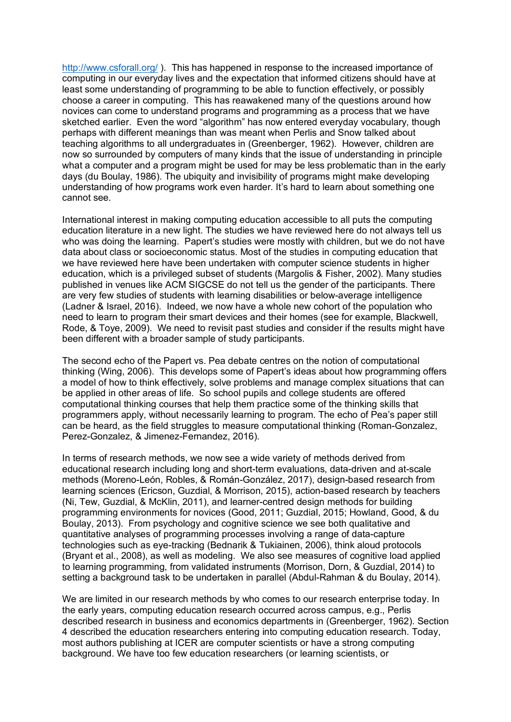http://www.csforall.org/). This has happened in response to the increased importance of computing in our everyday lives and the expectation that informed citizens should have at least some understanding of programming to be able to function effectively, or possibly choose a career in computing. This has reawakened many of the questions around how novices can come to understand programs and programming as a process that we have sketched earlier. Even the word "algorithm" has now entered everyday vocabulary, though perhaps with different meanings than was meant when Perlis and Snow talked about teaching algorithms to all undergraduates in (Greenberger, 1962). However, children are now so surrounded by computers of many kinds that the issue of understanding in principle what a computer and a program might be used for may be less problematic than in the early days (du Boulay, 1986). The ubiquity and invisibility of programs might make developing understanding of how programs work even harder. It's hard to learn about something one cannot see.

International interest in making computing education accessible to all puts the computing education literature in a new light. The studies we have reviewed here do not always tell us who was doing the learning. Papert's studies were mostly with children, but we do not have data about class or socioeconomic status. Most of the studies in computing education that we have reviewed here have been undertaken with computer science students in higher education, which is a privileged subset of students (Margolis & Fisher, 2002). Many studies published in venues like ACM SIGCSE do not tell us the gender of the participants. There are very few studies of students with learning disabilities or below-average intelligence (Ladner & Israel, 2016). Indeed, we now have a whole new cohort of the population who need to learn to program their smart devices and their homes (see for example, Blackwell, Rode, & Toye, 2009). We need to revisit past studies and consider if the results might have been different with a broader sample of study participants.

The second echo of the Papert vs. Pea debate centres on the notion of computational thinking (Wing, 2006). This develops some of Papert's ideas about how programming offers a model of how to think effectively, solve problems and manage complex situations that can be applied in other areas of life. So school pupils and college students are offered computational thinking courses that help them practice some of the thinking skills that programmers apply, without necessarily learning to program. The echo of Pea's paper still can be heard, as the field struggles to measure computational thinking (Roman-Gonzalez, Perez-Gonzalez, & Jimenez-Fernandez, 2016).

In terms of research methods, we now see a wide variety of methods derived from educational research including long and short-term evaluations, data-driven and at-scale methods (Moreno-León, Robles, & Román-González, 2017), design-based research from learning sciences (Ericson, Guzdial, & Morrison, 2015), action-based research by teachers (Ni, Tew, Guzdial, & McKlin, 2011), and learner-centred design methods for building programming environments for novices (Good, 2011; Guzdial, 2015; Howland, Good, & du Boulay, 2013). From psychology and cognitive science we see both qualitative and quantitative analyses of programming processes involving a range of data-capture technologies such as eye-tracking (Bednarik & Tukiainen, 2006), think aloud protocols (Bryant et al., 2008), as well as modeling. We also see measures of cognitive load applied to learning programming, from validated instruments (Morrison, Dorn, & Guzdial, 2014) to setting a background task to be undertaken in parallel (Abdul-Rahman & du Boulay, 2014).

We are limited in our research methods by who comes to our research enterprise today. In the early years, computing education research occurred across campus, e.g., Perlis described research in business and economics departments in (Greenberger, 1962). Section 4 described the education researchers entering into computing education research. Today, most authors publishing at ICER are computer scientists or have a strong computing background. We have too few education researchers (or learning scientists, or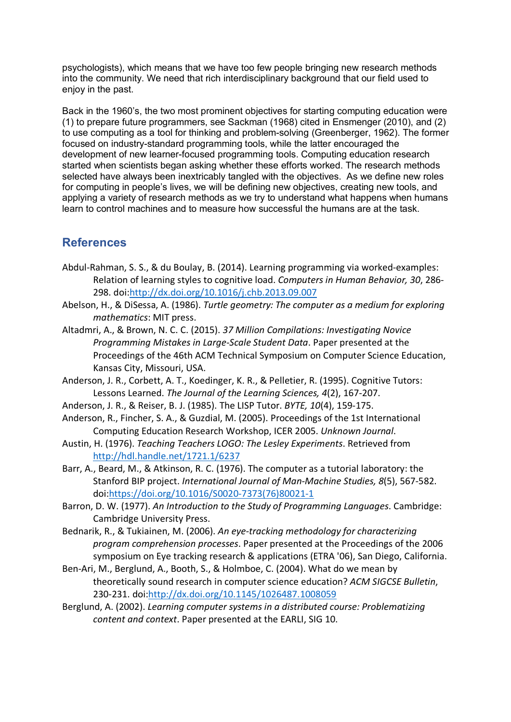psychologists), which means that we have too few people bringing new research methods into the community. We need that rich interdisciplinary background that our field used to enjoy in the past.

Back in the 1960's, the two most prominent objectives for starting computing education were (1) to prepare future programmers, see Sackman (1968) cited in Ensmenger (2010), and (2) to use computing as a tool for thinking and problem-solving (Greenberger, 1962). The former focused on industry-standard programming tools, while the latter encouraged the development of new learner-focused programming tools. Computing education research started when scientists began asking whether these efforts worked. The research methods selected have always been inextricably tangled with the objectives. As we define new roles for computing in people's lives, we will be defining new objectives, creating new tools, and applying a variety of research methods as we try to understand what happens when humans learn to control machines and to measure how successful the humans are at the task.

# **References**

- Abdul-Rahman, S. S., & du Boulay, B. (2014). Learning programming via worked-examples: Relation of learning styles to cognitive load. *Computers in Human Behavior, 30*, 286- 298. doi:http://dx.doi.org/10.1016/j.chb.2013.09.007
- Abelson, H., & DiSessa, A. (1986). *Turtle geometry: The computer as a medium for exploring mathematics*: MIT press.
- Altadmri, A., & Brown, N. C. C. (2015). *37 Million Compilations: Investigating Novice Programming Mistakes in Large-Scale Student Data*. Paper presented at the Proceedings of the 46th ACM Technical Symposium on Computer Science Education, Kansas City, Missouri, USA.
- Anderson, J. R., Corbett, A. T., Koedinger, K. R., & Pelletier, R. (1995). Cognitive Tutors: Lessons Learned. *The Journal of the Learning Sciences, 4*(2), 167-207.
- Anderson, J. R., & Reiser, B. J. (1985). The LISP Tutor. *BYTE, 10*(4), 159-175.
- Anderson, R., Fincher, S. A., & Guzdial, M. (2005). Proceedings of the 1st International Computing Education Research Workshop, ICER 2005. *Unknown Journal*.
- Austin, H. (1976). *Teaching Teachers LOGO: The Lesley Experiments*. Retrieved from http://hdl.handle.net/1721.1/6237
- Barr, A., Beard, M., & Atkinson, R. C. (1976). The computer as a tutorial laboratory: the Stanford BIP project. *International Journal of Man-Machine Studies, 8*(5), 567-582. doi:https://doi.org/10.1016/S0020-7373(76)80021-1
- Barron, D. W. (1977). *An Introduction to the Study of Programming Languages*. Cambridge: Cambridge University Press.
- Bednarik, R., & Tukiainen, M. (2006). *An eye-tracking methodology for characterizing program comprehension processes*. Paper presented at the Proceedings of the 2006 symposium on Eye tracking research & applications (ETRA '06), San Diego, California.
- Ben-Ari, M., Berglund, A., Booth, S., & Holmboe, C. (2004). What do we mean by theoretically sound research in computer science education? *ACM SIGCSE Bulletin*, 230-231. doi:http://dx.doi.org/10.1145/1026487.1008059
- Berglund, A. (2002). *Learning computer systems in a distributed course: Problematizing content and context*. Paper presented at the EARLI, SIG 10.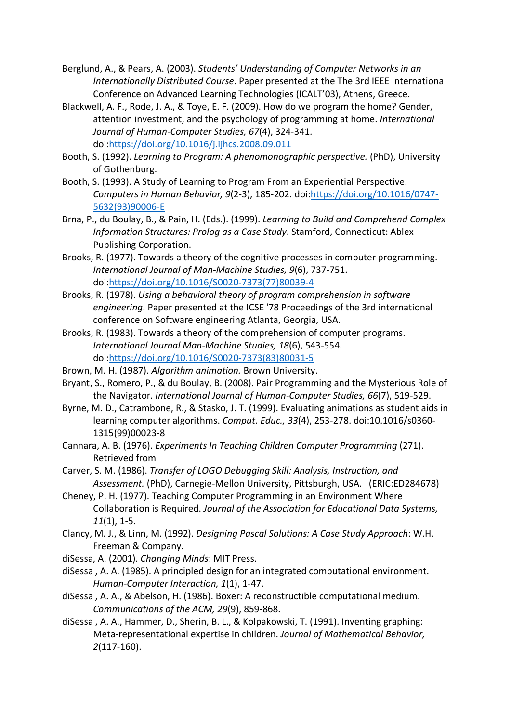- Berglund, A., & Pears, A. (2003). *Students' Understanding of Computer Networks in an Internationally Distributed Course*. Paper presented at the The 3rd IEEE International Conference on Advanced Learning Technologies (ICALT'03), Athens, Greece.
- Blackwell, A. F., Rode, J. A., & Toye, E. F. (2009). How do we program the home? Gender, attention investment, and the psychology of programming at home. *International Journal of Human-Computer Studies, 67*(4), 324-341. doi:https://doi.org/10.1016/j.ijhcs.2008.09.011
- Booth, S. (1992). *Learning to Program: A phenomonographic perspective.* (PhD), University of Gothenburg.
- Booth, S. (1993). A Study of Learning to Program From an Experiential Perspective. *Computers in Human Behavior, 9*(2-3), 185-202. doi:https://doi.org/10.1016/0747- 5632(93)90006-E
- Brna, P., du Boulay, B., & Pain, H. (Eds.). (1999). *Learning to Build and Comprehend Complex Information Structures: Prolog as a Case Study*. Stamford, Connecticut: Ablex Publishing Corporation.
- Brooks, R. (1977). Towards a theory of the cognitive processes in computer programming. *International Journal of Man-Machine Studies, 9*(6), 737-751. doi:https://doi.org/10.1016/S0020-7373(77)80039-4
- Brooks, R. (1978). *Using a behavioral theory of program comprehension in software engineering*. Paper presented at the ICSE '78 Proceedings of the 3rd international conference on Software engineering Atlanta, Georgia, USA.
- Brooks, R. (1983). Towards a theory of the comprehension of computer programs. *International Journal Man-Machine Studies, 18*(6), 543-554. doi:https://doi.org/10.1016/S0020-7373(83)80031-5
- Brown, M. H. (1987). *Algorithm animation.* Brown University.
- Bryant, S., Romero, P., & du Boulay, B. (2008). Pair Programming and the Mysterious Role of the Navigator. *International Journal of Human-Computer Studies, 66*(7), 519-529.
- Byrne, M. D., Catrambone, R., & Stasko, J. T. (1999). Evaluating animations as student aids in learning computer algorithms. *Comput. Educ., 33*(4), 253-278. doi:10.1016/s0360- 1315(99)00023-8
- Cannara, A. B. (1976). *Experiments In Teaching Children Computer Programming* (271). Retrieved from
- Carver, S. M. (1986). *Transfer of LOGO Debugging Skill: Analysis, Instruction, and Assessment.* (PhD), Carnegie-Mellon University, Pittsburgh, USA. (ERIC:ED284678)
- Cheney, P. H. (1977). Teaching Computer Programming in an Environment Where Collaboration is Required. *Journal of the Association for Educational Data Systems, 11*(1), 1-5.
- Clancy, M. J., & Linn, M. (1992). *Designing Pascal Solutions: A Case Study Approach*: W.H. Freeman & Company.
- diSessa, A. (2001). *Changing Minds*: MIT Press.
- diSessa , A. A. (1985). A principled design for an integrated computational environment. *Human-Computer Interaction, 1*(1), 1-47.
- diSessa , A. A., & Abelson, H. (1986). Boxer: A reconstructible computational medium. *Communications of the ACM, 29*(9), 859-868.
- diSessa , A. A., Hammer, D., Sherin, B. L., & Kolpakowski, T. (1991). Inventing graphing: Meta-representational expertise in children. *Journal of Mathematical Behavior, 2*(117-160).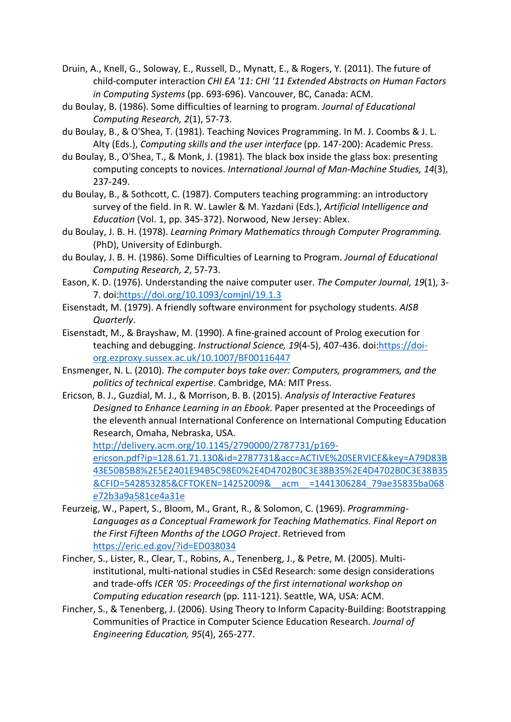Druin, A., Knell, G., Soloway, E., Russell, D., Mynatt, E., & Rogers, Y. (2011). The future of child-computer interaction *CHI EA '11: CHI '11 Extended Abstracts on Human Factors in Computing Systems* (pp. 693-696). Vancouver, BC, Canada: ACM.

- du Boulay, B. (1986). Some difficulties of learning to program. *Journal of Educational Computing Research, 2*(1), 57-73.
- du Boulay, B., & O'Shea, T. (1981). Teaching Novices Programming. In M. J. Coombs & J. L. Alty (Eds.), *Computing skills and the user interface* (pp. 147-200): Academic Press.
- du Boulay, B., O'Shea, T., & Monk, J. (1981). The black box inside the glass box: presenting computing concepts to novices. *International Journal of Man-Machine Studies, 14*(3), 237-249.
- du Boulay, B., & Sothcott, C. (1987). Computers teaching programming: an introductory survey of the field. In R. W. Lawler & M. Yazdani (Eds.), *Artificial Intelligence and Education* (Vol. 1, pp. 345-372). Norwood, New Jersey: Ablex.
- du Boulay, J. B. H. (1978). *Learning Primary Mathematics through Computer Programming.* (PhD), University of Edinburgh.
- du Boulay, J. B. H. (1986). Some Difficulties of Learning to Program. *Journal of Educational Computing Research, 2*, 57-73.
- Eason, K. D. (1976). Understanding the naive computer user. *The Computer Journal, 19*(1), 3- 7. doi:https://doi.org/10.1093/comjnl/19.1.3
- Eisenstadt, M. (1979). A friendly software environment for psychology students. *AISB Quarterly*.
- Eisenstadt, M., & Brayshaw, M. (1990). A fine-grained account of Prolog execution for teaching and debugging. *Instructional Science, 19*(4-5), 407-436. doi:https://doiorg.ezproxy.sussex.ac.uk/10.1007/BF00116447
- Ensmenger, N. L. (2010). *The computer boys take over: Computers, programmers, and the politics of technical expertise*. Cambridge, MA: MIT Press.
- Ericson, B. J., Guzdial, M. J., & Morrison, B. B. (2015). *Analysis of Interactive Features Designed to Enhance Learning in an Ebook*. Paper presented at the Proceedings of the eleventh annual International Conference on International Computing Education Research, Omaha, Nebraska, USA.

http://delivery.acm.org/10.1145/2790000/2787731/p169 ericson.pdf?ip=128.61.71.130&id=2787731&acc=ACTIVE%20SERVICE&key=A79D83B 43E50B5B8%2E5E2401E94B5C98E0%2E4D4702B0C3E38B35%2E4D4702B0C3E38B35 &CFID=542853285&CFTOKEN=14252009&\_\_acm\_\_=1441306284\_79ae35835ba068 e72b3a9a581ce4a31e

- Feurzeig, W., Papert, S., Bloom, M., Grant, R., & Solomon, C. (1969). *Programming-Languages as a Conceptual Framework for Teaching Mathematics. Final Report on the First Fifteen Months of the LOGO Project*. Retrieved from https://eric.ed.gov/?id=ED038034
- Fincher, S., Lister, R., Clear, T., Robins, A., Tenenberg, J., & Petre, M. (2005). Multiinstitutional, multi-national studies in CSEd Research: some design considerations and trade-offs *ICER '05: Proceedings of the first international workshop on Computing education research* (pp. 111-121). Seattle, WA, USA: ACM.
- Fincher, S., & Tenenberg, J. (2006). Using Theory to Inform Capacity-Building: Bootstrapping Communities of Practice in Computer Science Education Research. *Journal of Engineering Education, 95*(4), 265-277.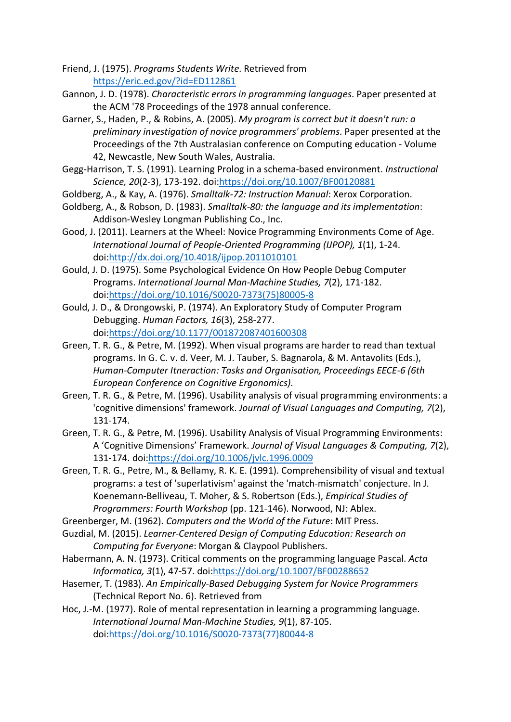- Friend, J. (1975). *Programs Students Write*. Retrieved from https://eric.ed.gov/?id=ED112861
- Gannon, J. D. (1978). *Characteristic errors in programming languages*. Paper presented at the ACM '78 Proceedings of the 1978 annual conference.
- Garner, S., Haden, P., & Robins, A. (2005). *My program is correct but it doesn't run: a preliminary investigation of novice programmers' problems*. Paper presented at the Proceedings of the 7th Australasian conference on Computing education - Volume 42, Newcastle, New South Wales, Australia.
- Gegg-Harrison, T. S. (1991). Learning Prolog in a schema-based environment. *Instructional Science, 20*(2-3), 173-192. doi:https://doi.org/10.1007/BF00120881
- Goldberg, A., & Kay, A. (1976). *Smalltalk-72: Instruction Manual*: Xerox Corporation.
- Goldberg, A., & Robson, D. (1983). *Smalltalk-80: the language and its implementation*: Addison-Wesley Longman Publishing Co., Inc.
- Good, J. (2011). Learners at the Wheel: Novice Programming Environments Come of Age. *International Journal of People-Oriented Programming (IJPOP), 1*(1), 1-24. doi:http://dx.doi.org/10.4018/ijpop.2011010101
- Gould, J. D. (1975). Some Psychological Evidence On How People Debug Computer Programs. *International Journal Man-Machine Studies, 7*(2), 171-182. doi:https://doi.org/10.1016/S0020-7373(75)80005-8
- Gould, J. D., & Drongowski, P. (1974). An Exploratory Study of Computer Program Debugging. *Human Factors, 16*(3), 258-277. doi:https://doi.org/10.1177/001872087401600308
- Green, T. R. G., & Petre, M. (1992). When visual programs are harder to read than textual programs. In G. C. v. d. Veer, M. J. Tauber, S. Bagnarola, & M. Antavolits (Eds.), *Human-Computer Itneraction: Tasks and Organisation, Proceedings EECE-6 (6th European Conference on Cognitive Ergonomics)*.
- Green, T. R. G., & Petre, M. (1996). Usability analysis of visual programming environments: a 'cognitive dimensions' framework. *Journal of Visual Languages and Computing, 7*(2), 131-174.
- Green, T. R. G., & Petre, M. (1996). Usability Analysis of Visual Programming Environments: A 'Cognitive Dimensions' Framework. *Journal of Visual Languages & Computing, 7*(2), 131-174. doi:https://doi.org/10.1006/jvlc.1996.0009
- Green, T. R. G., Petre, M., & Bellamy, R. K. E. (1991). Comprehensibility of visual and textual programs: a test of 'superlativism' against the 'match-mismatch' conjecture. In J. Koenemann-Belliveau, T. Moher, & S. Robertson (Eds.), *Empirical Studies of Programmers: Fourth Workshop* (pp. 121-146). Norwood, NJ: Ablex.
- Greenberger, M. (1962). *Computers and the World of the Future*: MIT Press.
- Guzdial, M. (2015). *Learner-Centered Design of Computing Education: Research on Computing for Everyone*: Morgan & Claypool Publishers.
- Habermann, A. N. (1973). Critical comments on the programming language Pascal. *Acta Informatica, 3*(1), 47-57. doi:https://doi.org/10.1007/BF00288652
- Hasemer, T. (1983). *An Empirically-Based Debugging System for Novice Programmers* (Technical Report No. 6). Retrieved from
- Hoc, J.-M. (1977). Role of mental representation in learning a programming language. *International Journal Man-Machine Studies, 9*(1), 87-105. doi:https://doi.org/10.1016/S0020-7373(77)80044-8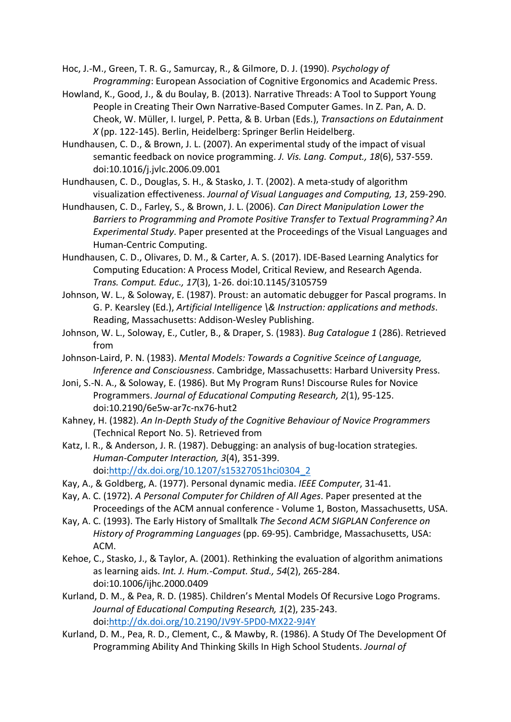Hoc, J.-M., Green, T. R. G., Samurcay, R., & Gilmore, D. J. (1990). *Psychology of Programming*: European Association of Cognitive Ergonomics and Academic Press.

- Howland, K., Good, J., & du Boulay, B. (2013). Narrative Threads: A Tool to Support Young People in Creating Their Own Narrative-Based Computer Games. In Z. Pan, A. D. Cheok, W. Müller, I. Iurgel, P. Petta, & B. Urban (Eds.), *Transactions on Edutainment X* (pp. 122-145). Berlin, Heidelberg: Springer Berlin Heidelberg.
- Hundhausen, C. D., & Brown, J. L. (2007). An experimental study of the impact of visual semantic feedback on novice programming. *J. Vis. Lang. Comput., 18*(6), 537-559. doi:10.1016/j.jvlc.2006.09.001
- Hundhausen, C. D., Douglas, S. H., & Stasko, J. T. (2002). A meta-study of algorithm visualization effectiveness. *Journal of Visual Languages and Computing, 13*, 259-290.
- Hundhausen, C. D., Farley, S., & Brown, J. L. (2006). *Can Direct Manipulation Lower the Barriers to Programming and Promote Positive Transfer to Textual Programming? An Experimental Study*. Paper presented at the Proceedings of the Visual Languages and Human-Centric Computing.
- Hundhausen, C. D., Olivares, D. M., & Carter, A. S. (2017). IDE-Based Learning Analytics for Computing Education: A Process Model, Critical Review, and Research Agenda. *Trans. Comput. Educ., 17*(3), 1-26. doi:10.1145/3105759
- Johnson, W. L., & Soloway, E. (1987). Proust: an automatic debugger for Pascal programs. In G. P. Kearsley (Ed.), *Artificial Intelligence \& Instruction: applications and methods*. Reading, Massachusetts: Addison-Wesley Publishing.
- Johnson, W. L., Soloway, E., Cutler, B., & Draper, S. (1983). *Bug Catalogue 1* (286). Retrieved from
- Johnson-Laird, P. N. (1983). *Mental Models: Towards a Cognitive Sceince of Language, Inference and Consciousness*. Cambridge, Massachusetts: Harbard University Press.
- Joni, S.-N. A., & Soloway, E. (1986). But My Program Runs! Discourse Rules for Novice Programmers. *Journal of Educational Computing Research, 2*(1), 95-125. doi:10.2190/6e5w-ar7c-nx76-hut2
- Kahney, H. (1982). *An In-Depth Study of the Cognitive Behaviour of Novice Programmers* (Technical Report No. 5). Retrieved from
- Katz, I. R., & Anderson, J. R. (1987). Debugging: an analysis of bug-location strategies. *Human-Computer Interaction, 3*(4), 351-399. doi:http://dx.doi.org/10.1207/s15327051hci0304\_2
- Kay, A., & Goldberg, A. (1977). Personal dynamic media. *IEEE Computer*, 31-41.
- Kay, A. C. (1972). *A Personal Computer for Children of All Ages*. Paper presented at the Proceedings of the ACM annual conference - Volume 1, Boston, Massachusetts, USA.
- Kay, A. C. (1993). The Early History of Smalltalk *The Second ACM SIGPLAN Conference on History of Programming Languages* (pp. 69-95). Cambridge, Massachusetts, USA: ACM.
- Kehoe, C., Stasko, J., & Taylor, A. (2001). Rethinking the evaluation of algorithm animations as learning aids. *Int. J. Hum.-Comput. Stud., 54*(2), 265-284. doi:10.1006/ijhc.2000.0409
- Kurland, D. M., & Pea, R. D. (1985). Children's Mental Models Of Recursive Logo Programs. *Journal of Educational Computing Research, 1*(2), 235-243. doi:http://dx.doi.org/10.2190/JV9Y-5PD0-MX22-9J4Y
- Kurland, D. M., Pea, R. D., Clement, C., & Mawby, R. (1986). A Study Of The Development Of Programming Ability And Thinking Skills In High School Students. *Journal of*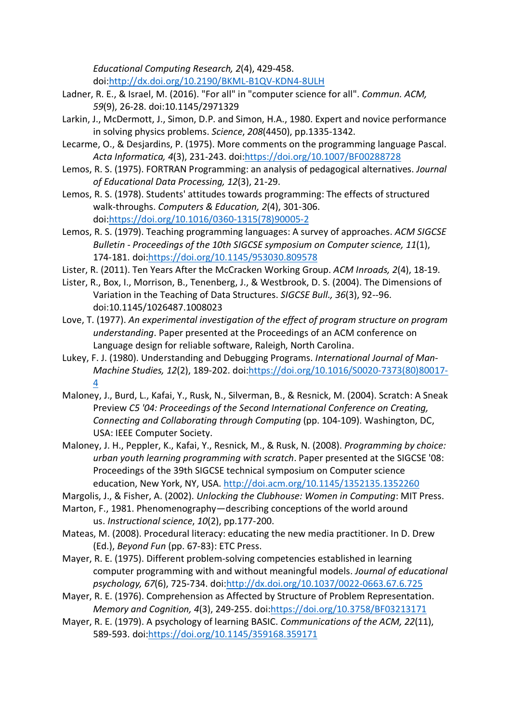*Educational Computing Research, 2*(4), 429-458.

doi:http://dx.doi.org/10.2190/BKML-B1QV-KDN4-8ULH

- Ladner, R. E., & Israel, M. (2016). "For all" in "computer science for all". *Commun. ACM, 59*(9), 26-28. doi:10.1145/2971329
- Larkin, J., McDermott, J., Simon, D.P. and Simon, H.A., 1980. Expert and novice performance in solving physics problems. *Science*, *208*(4450), pp.1335-1342.
- Lecarme, O., & Desjardins, P. (1975). More comments on the programming language Pascal. *Acta Informatica, 4*(3), 231-243. doi:https://doi.org/10.1007/BF00288728
- Lemos, R. S. (1975). FORTRAN Programming: an analysis of pedagogical alternatives. *Journal of Educational Data Processing, 12*(3), 21-29.
- Lemos, R. S. (1978). Students' attitudes towards programming: The effects of structured walk-throughs. *Computers & Education, 2*(4), 301-306. doi:https://doi.org/10.1016/0360-1315(78)90005-2
- Lemos, R. S. (1979). Teaching programming languages: A survey of approaches. *ACM SIGCSE Bulletin - Proceedings of the 10th SIGCSE symposium on Computer science, 11*(1), 174-181. doi:https://doi.org/10.1145/953030.809578
- Lister, R. (2011). Ten Years After the McCracken Working Group. *ACM Inroads, 2*(4), 18-19.
- Lister, R., Box, I., Morrison, B., Tenenberg, J., & Westbrook, D. S. (2004). The Dimensions of Variation in the Teaching of Data Structures. *SIGCSE Bull., 36*(3), 92--96. doi:10.1145/1026487.1008023
- Love, T. (1977). *An experimental investigation of the effect of program structure on program understanding*. Paper presented at the Proceedings of an ACM conference on Language design for reliable software, Raleigh, North Carolina.
- Lukey, F. J. (1980). Understanding and Debugging Programs. *International Journal of Man-Machine Studies, 12*(2), 189-202. doi:https://doi.org/10.1016/S0020-7373(80)80017- 4
- Maloney, J., Burd, L., Kafai, Y., Rusk, N., Silverman, B., & Resnick, M. (2004). Scratch: A Sneak Preview *C5 '04: Proceedings of the Second International Conference on Creating, Connecting and Collaborating through Computing* (pp. 104-109). Washington, DC, USA: IEEE Computer Society.
- Maloney, J. H., Peppler, K., Kafai, Y., Resnick, M., & Rusk, N. (2008). *Programming by choice: urban youth learning programming with scratch*. Paper presented at the SIGCSE '08: Proceedings of the 39th SIGCSE technical symposium on Computer science education, New York, NY, USA. http://doi.acm.org/10.1145/1352135.1352260
- Margolis, J., & Fisher, A. (2002). *Unlocking the Clubhouse: Women in Computing*: MIT Press.

Marton, F., 1981. Phenomenography—describing conceptions of the world around us. *Instructional science*, *10*(2), pp.177-200.

- Mateas, M. (2008). Procedural literacy: educating the new media practitioner. In D. Drew (Ed.), *Beyond Fun* (pp. 67-83): ETC Press.
- Mayer, R. E. (1975). Different problem-solving competencies established in learning computer programming with and without meaningful models. *Journal of educational psychology, 67*(6), 725-734. doi:http://dx.doi.org/10.1037/0022-0663.67.6.725
- Mayer, R. E. (1976). Comprehension as Affected by Structure of Problem Representation. *Memory and Cognition, 4*(3), 249-255. doi:https://doi.org/10.3758/BF03213171
- Mayer, R. E. (1979). A psychology of learning BASIC. *Communications of the ACM, 22*(11), 589-593. doi:https://doi.org/10.1145/359168.359171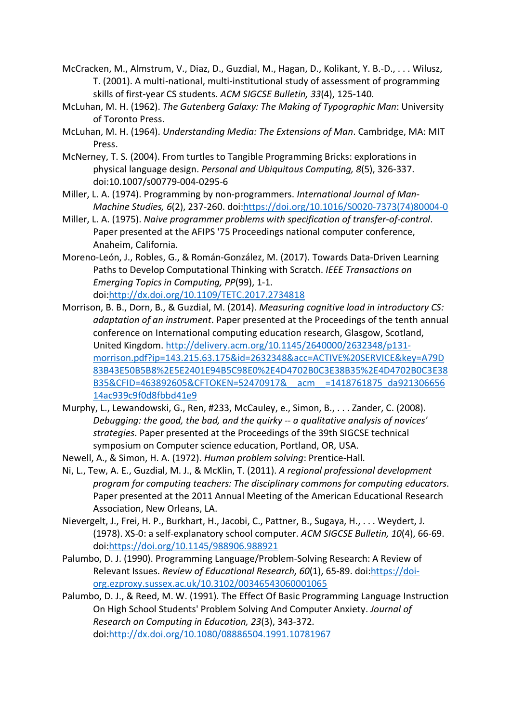- McCracken, M., Almstrum, V., Diaz, D., Guzdial, M., Hagan, D., Kolikant, Y. B.-D., . . . Wilusz, T. (2001). A multi-national, multi-institutional study of assessment of programming skills of first-year CS students. *ACM SIGCSE Bulletin, 33*(4), 125-140.
- McLuhan, M. H. (1962). *The Gutenberg Galaxy: The Making of Typographic Man*: University of Toronto Press.
- McLuhan, M. H. (1964). *Understanding Media: The Extensions of Man*. Cambridge, MA: MIT Press.
- McNerney, T. S. (2004). From turtles to Tangible Programming Bricks: explorations in physical language design. *Personal and Ubiquitous Computing, 8*(5), 326-337. doi:10.1007/s00779-004-0295-6
- Miller, L. A. (1974). Programming by non-programmers. *International Journal of Man-Machine Studies, 6*(2), 237-260. doi:https://doi.org/10.1016/S0020-7373(74)80004-0
- Miller, L. A. (1975). *Naive programmer problems with specification of transfer-of-control*. Paper presented at the AFIPS '75 Proceedings national computer conference, Anaheim, California.
- Moreno-León, J., Robles, G., & Román-González, M. (2017). Towards Data-Driven Learning Paths to Develop Computational Thinking with Scratch. *IEEE Transactions on Emerging Topics in Computing, PP*(99), 1-1. doi:http://dx.doi.org/10.1109/TETC.2017.2734818
- Morrison, B. B., Dorn, B., & Guzdial, M. (2014). *Measuring cognitive load in introductory CS: adaptation of an instrument*. Paper presented at the Proceedings of the tenth annual conference on International computing education research, Glasgow, Scotland, United Kingdom. http://delivery.acm.org/10.1145/2640000/2632348/p131 morrison.pdf?ip=143.215.63.175&id=2632348&acc=ACTIVE%20SERVICE&key=A79D 83B43E50B5B8%2E5E2401E94B5C98E0%2E4D4702B0C3E38B35%2E4D4702B0C3E38 B35&CFID=463892605&CFTOKEN=52470917&\_\_acm\_\_ =1418761875\_da921306656 14ac939c9f0d8fbbd41e9
- Murphy, L., Lewandowski, G., Ren, #233, McCauley, e., Simon, B., . . . Zander, C. (2008). *Debugging: the good, the bad, and the quirky -- a qualitative analysis of novices' strategies*. Paper presented at the Proceedings of the 39th SIGCSE technical symposium on Computer science education, Portland, OR, USA.
- Newell, A., & Simon, H. A. (1972). *Human problem solving*: Prentice-Hall.
- Ni, L., Tew, A. E., Guzdial, M. J., & McKlin, T. (2011). *A regional professional development program for computing teachers: The disciplinary commons for computing educators*. Paper presented at the 2011 Annual Meeting of the American Educational Research Association, New Orleans, LA.
- Nievergelt, J., Frei, H. P., Burkhart, H., Jacobi, C., Pattner, B., Sugaya, H., . . . Weydert, J. (1978). XS-0: a self-explanatory school computer. *ACM SIGCSE Bulletin, 10*(4), 66-69. doi:https://doi.org/10.1145/988906.988921
- Palumbo, D. J. (1990). Programming Language/Problem-Solving Research: A Review of Relevant Issues. *Review of Educational Research, 60*(1), 65-89. doi:https://doiorg.ezproxy.sussex.ac.uk/10.3102/00346543060001065
- Palumbo, D. J., & Reed, M. W. (1991). The Effect Of Basic Programming Language Instruction On High School Students' Problem Solving And Computer Anxiety. *Journal of Research on Computing in Education, 23*(3), 343-372. doi:http://dx.doi.org/10.1080/08886504.1991.10781967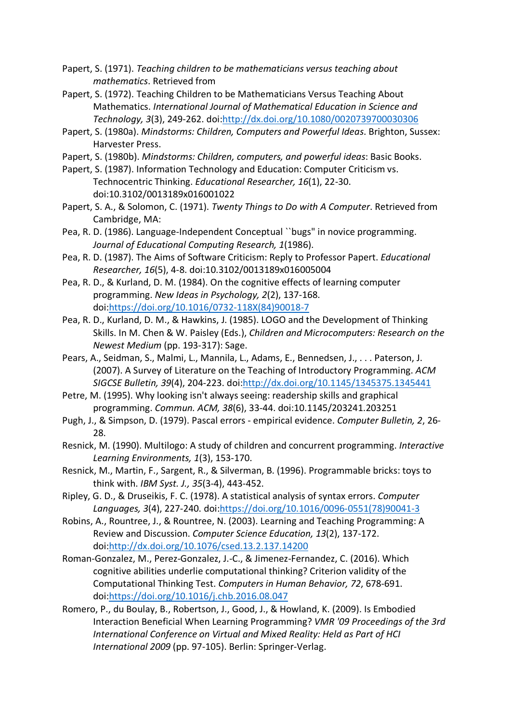- Papert, S. (1971). *Teaching children to be mathematicians versus teaching about mathematics*. Retrieved from
- Papert, S. (1972). Teaching Children to be Mathematicians Versus Teaching About Mathematics. *International Journal of Mathematical Education in Science and Technology, 3*(3), 249-262. doi:http://dx.doi.org/10.1080/0020739700030306
- Papert, S. (1980a). *Mindstorms: Children, Computers and Powerful Ideas*. Brighton, Sussex: Harvester Press.
- Papert, S. (1980b). *Mindstorms: Children, computers, and powerful ideas*: Basic Books.
- Papert, S. (1987). Information Technology and Education: Computer Criticism vs. Technocentric Thinking. *Educational Researcher, 16*(1), 22-30. doi:10.3102/0013189x016001022
- Papert, S. A., & Solomon, C. (1971). *Twenty Things to Do with A Computer*. Retrieved from Cambridge, MA:
- Pea, R. D. (1986). Language-Independent Conceptual ``bugs" in novice programming. *Journal of Educational Computing Research, 1*(1986).
- Pea, R. D. (1987). The Aims of Software Criticism: Reply to Professor Papert. *Educational Researcher, 16*(5), 4-8. doi:10.3102/0013189x016005004
- Pea, R. D., & Kurland, D. M. (1984). On the cognitive effects of learning computer programming. *New Ideas in Psychology, 2*(2), 137-168. doi:https://doi.org/10.1016/0732-118X(84)90018-7
- Pea, R. D., Kurland, D. M., & Hawkins, J. (1985). LOGO and the Development of Thinking Skills. In M. Chen & W. Paisley (Eds.), *Children and Microcomputers: Research on the Newest Medium* (pp. 193-317): Sage.
- Pears, A., Seidman, S., Malmi, L., Mannila, L., Adams, E., Bennedsen, J., . . . Paterson, J. (2007). A Survey of Literature on the Teaching of Introductory Programming. *ACM SIGCSE Bulletin, 39*(4), 204-223. doi:http://dx.doi.org/10.1145/1345375.1345441
- Petre, M. (1995). Why looking isn't always seeing: readership skills and graphical programming. *Commun. ACM, 38*(6), 33-44. doi:10.1145/203241.203251
- Pugh, J., & Simpson, D. (1979). Pascal errors empirical evidence. *Computer Bulletin, 2*, 26- 28.
- Resnick, M. (1990). Multilogo: A study of children and concurrent programming. *Interactive Learning Environments, 1*(3), 153-170.
- Resnick, M., Martin, F., Sargent, R., & Silverman, B. (1996). Programmable bricks: toys to think with. *IBM Syst. J., 35*(3-4), 443-452.
- Ripley, G. D., & Druseikis, F. C. (1978). A statistical analysis of syntax errors. *Computer Languages, 3*(4), 227-240. doi:https://doi.org/10.1016/0096-0551(78)90041-3
- Robins, A., Rountree, J., & Rountree, N. (2003). Learning and Teaching Programming: A Review and Discussion. *Computer Science Education, 13*(2), 137-172. doi:http://dx.doi.org/10.1076/csed.13.2.137.14200
- Roman-Gonzalez, M., Perez-Gonzalez, J.-C., & Jimenez-Fernandez, C. (2016). Which cognitive abilities underlie computational thinking? Criterion validity of the Computational Thinking Test. *Computers in Human Behavior, 72*, 678-691. doi:https://doi.org/10.1016/j.chb.2016.08.047
- Romero, P., du Boulay, B., Robertson, J., Good, J., & Howland, K. (2009). Is Embodied Interaction Beneficial When Learning Programming? *VMR '09 Proceedings of the 3rd International Conference on Virtual and Mixed Reality: Held as Part of HCI International 2009* (pp. 97-105). Berlin: Springer-Verlag.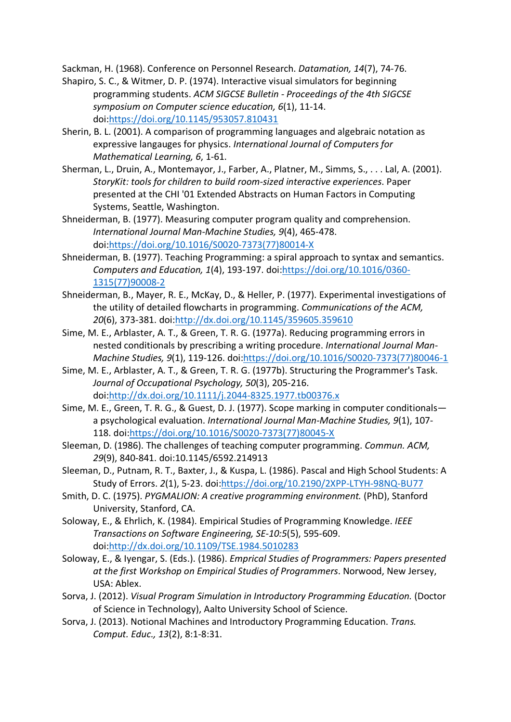Sackman, H. (1968). Conference on Personnel Research. *Datamation, 14*(7), 74-76.

- Shapiro, S. C., & Witmer, D. P. (1974). Interactive visual simulators for beginning programming students. *ACM SIGCSE Bulletin - Proceedings of the 4th SIGCSE symposium on Computer science education, 6*(1), 11-14. doi:https://doi.org/10.1145/953057.810431
- Sherin, B. L. (2001). A comparison of programming languages and algebraic notation as expressive langauges for physics. *International Journal of Computers for Mathematical Learning, 6*, 1-61.
- Sherman, L., Druin, A., Montemayor, J., Farber, A., Platner, M., Simms, S., . . . Lal, A. (2001). *StoryKit: tools for children to build room-sized interactive experiences*. Paper presented at the CHI '01 Extended Abstracts on Human Factors in Computing Systems, Seattle, Washington.
- Shneiderman, B. (1977). Measuring computer program quality and comprehension. *International Journal Man-Machine Studies, 9*(4), 465-478. doi:https://doi.org/10.1016/S0020-7373(77)80014-X
- Shneiderman, B. (1977). Teaching Programming: a spiral approach to syntax and semantics. *Computers and Education, 1*(4), 193-197. doi:https://doi.org/10.1016/0360- 1315(77)90008-2
- Shneiderman, B., Mayer, R. E., McKay, D., & Heller, P. (1977). Experimental investigations of the utility of detailed flowcharts in programming. *Communications of the ACM, 20*(6), 373-381. doi:http://dx.doi.org/10.1145/359605.359610
- Sime, M. E., Arblaster, A. T., & Green, T. R. G. (1977a). Reducing programming errors in nested conditionals by prescribing a writing procedure. *International Journal Man-Machine Studies, 9*(1), 119-126. doi:https://doi.org/10.1016/S0020-7373(77)80046-1
- Sime, M. E., Arblaster, A. T., & Green, T. R. G. (1977b). Structuring the Programmer's Task. *Journal of Occupational Psychology, 50*(3), 205-216. doi:http://dx.doi.org/10.1111/j.2044-8325.1977.tb00376.x
- Sime, M. E., Green, T. R. G., & Guest, D. J. (1977). Scope marking in computer conditionals a psychological evaluation. *International Journal Man-Machine Studies, 9*(1), 107- 118. doi:https://doi.org/10.1016/S0020-7373(77)80045-X
- Sleeman, D. (1986). The challenges of teaching computer programming. *Commun. ACM, 29*(9), 840-841. doi:10.1145/6592.214913
- Sleeman, D., Putnam, R. T., Baxter, J., & Kuspa, L. (1986). Pascal and High School Students: A Study of Errors. *2*(1), 5-23. doi:https://doi.org/10.2190/2XPP-LTYH-98NQ-BU77
- Smith, D. C. (1975). *PYGMALION: A creative programming environment.* (PhD), Stanford University, Stanford, CA.
- Soloway, E., & Ehrlich, K. (1984). Empirical Studies of Programming Knowledge. *IEEE Transactions on Software Engineering, SE-10:5*(5), 595-609. doi:http://dx.doi.org/10.1109/TSE.1984.5010283
- Soloway, E., & Iyengar, S. (Eds.). (1986). *Emprical Studies of Programmers: Papers presented at the first Workshop on Empirical Studies of Programmers*. Norwood, New Jersey, USA: Ablex.
- Sorva, J. (2012). *Visual Program Simulation in Introductory Programming Education.* (Doctor of Science in Technology), Aalto University School of Science.
- Sorva, J. (2013). Notional Machines and Introductory Programming Education. *Trans. Comput. Educ., 13*(2), 8:1-8:31.